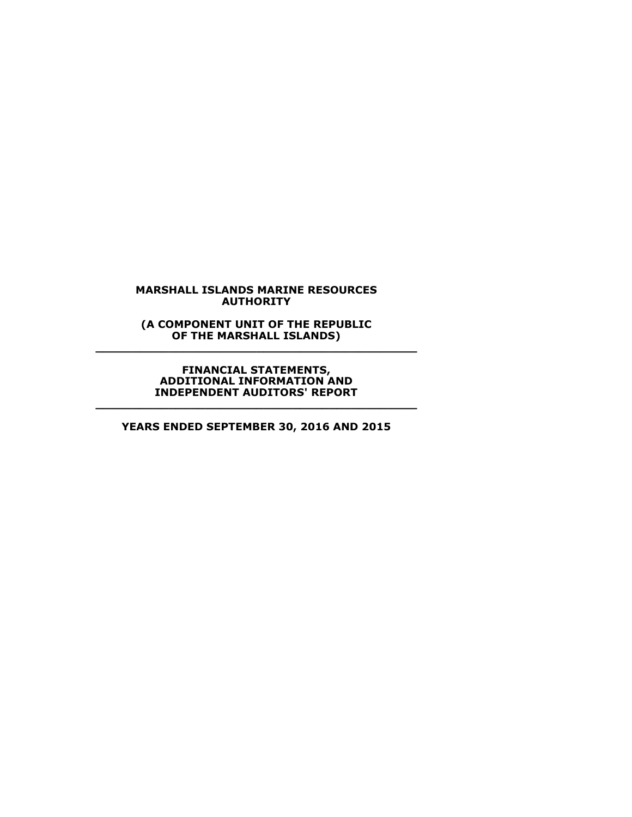**(A COMPONENT UNIT OF THE REPUBLIC OF THE MARSHALL ISLANDS) \_\_\_\_\_\_\_\_\_\_\_\_\_\_\_\_\_\_\_\_\_\_\_\_\_\_\_\_\_\_\_\_\_\_\_\_\_\_\_\_\_\_\_\_**

> **FINANCIAL STATEMENTS, ADDITIONAL INFORMATION AND INDEPENDENT AUDITORS' REPORT**

**YEARS ENDED SEPTEMBER 30, 2016 AND 2015**

**\_\_\_\_\_\_\_\_\_\_\_\_\_\_\_\_\_\_\_\_\_\_\_\_\_\_\_\_\_\_\_\_\_\_\_\_\_\_\_\_\_\_\_\_**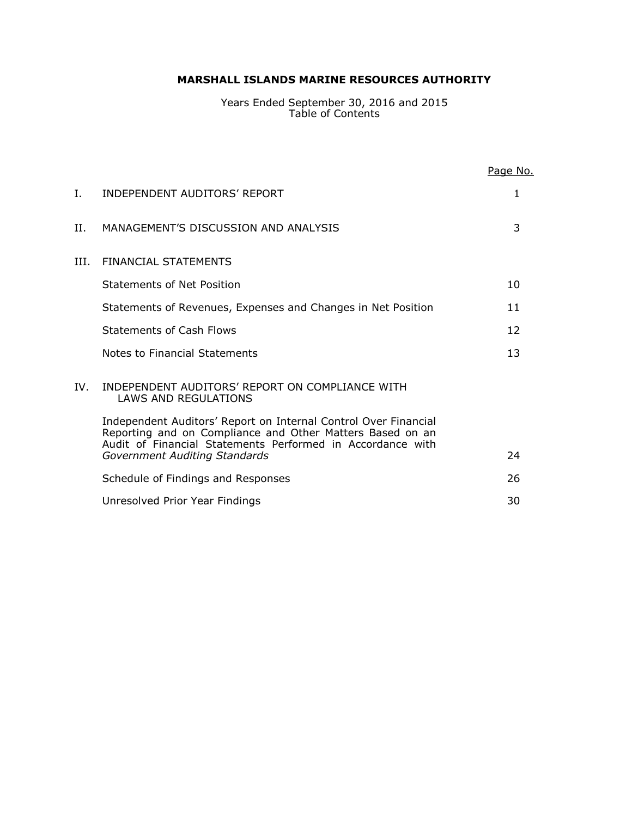Years Ended September 30, 2016 and 2015 Table of Contents

|     |                                                                                                                                                                                            | Page No.          |
|-----|--------------------------------------------------------------------------------------------------------------------------------------------------------------------------------------------|-------------------|
| I.  | INDEPENDENT AUDITORS' REPORT                                                                                                                                                               | 1                 |
| H.  | MANAGEMENT'S DISCUSSION AND ANALYSIS                                                                                                                                                       | 3                 |
| TH. | <b>FINANCIAL STATEMENTS</b>                                                                                                                                                                |                   |
|     | Statements of Net Position                                                                                                                                                                 | 10                |
|     | Statements of Revenues, Expenses and Changes in Net Position                                                                                                                               | 11                |
|     | Statements of Cash Flows                                                                                                                                                                   | $12 \overline{ }$ |
|     | Notes to Financial Statements                                                                                                                                                              | 13                |
| IV. | INDEPENDENT AUDITORS' REPORT ON COMPLIANCE WITH<br>LAWS AND REGULATIONS                                                                                                                    |                   |
|     | Independent Auditors' Report on Internal Control Over Financial<br>Reporting and on Compliance and Other Matters Based on an<br>Audit of Financial Statements Performed in Accordance with |                   |
|     | <b>Government Auditing Standards</b>                                                                                                                                                       | 24                |
|     | Schedule of Findings and Responses                                                                                                                                                         | 26                |
|     | Unresolved Prior Year Findings                                                                                                                                                             | 30                |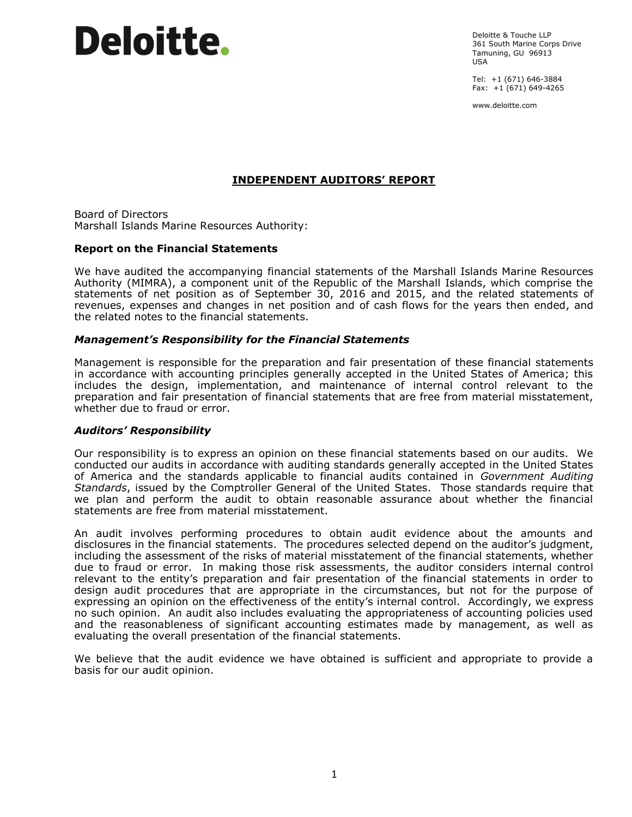# **Deloitte**.

Deloitte & Touche LLP 361 South Marine Corps Drive Tamuning, GU 96913  $IISA$ 

Tel: +1 (671) 646-3884 Fax:  $+1(671) 649-4265$ 

www.deloitte.com

# **INDEPENDENT AUDITORS' REPORT**

Board of Directors Marshall Islands Marine Resources Authority:

#### **Report on the Financial Statements**

We have audited the accompanying financial statements of the Marshall Islands Marine Resources Authority (MIMRA), a component unit of the Republic of the Marshall Islands, which comprise the statements of net position as of September 30, 2016 and 2015, and the related statements of revenues, expenses and changes in net position and of cash flows for the years then ended, and the related notes to the financial statements.

# *Management's Responsibility for the Financial Statements*

Management is responsible for the preparation and fair presentation of these financial statements in accordance with accounting principles generally accepted in the United States of America; this includes the design, implementation, and maintenance of internal control relevant to the preparation and fair presentation of financial statements that are free from material misstatement, whether due to fraud or error.

# *Auditors' Responsibility*

Our responsibility is to express an opinion on these financial statements based on our audits. We conducted our audits in accordance with auditing standards generally accepted in the United States of America and the standards applicable to financial audits contained in *Government Auditing Standards*, issued by the Comptroller General of the United States. Those standards require that we plan and perform the audit to obtain reasonable assurance about whether the financial statements are free from material misstatement.

An audit involves performing procedures to obtain audit evidence about the amounts and disclosures in the financial statements. The procedures selected depend on the auditor's judgment, including the assessment of the risks of material misstatement of the financial statements, whether due to fraud or error. In making those risk assessments, the auditor considers internal control relevant to the entity's preparation and fair presentation of the financial statements in order to design audit procedures that are appropriate in the circumstances, but not for the purpose of expressing an opinion on the effectiveness of the entity's internal control. Accordingly, we express no such opinion. An audit also includes evaluating the appropriateness of accounting policies used and the reasonableness of significant accounting estimates made by management, as well as evaluating the overall presentation of the financial statements.

We believe that the audit evidence we have obtained is sufficient and appropriate to provide a basis for our audit opinion.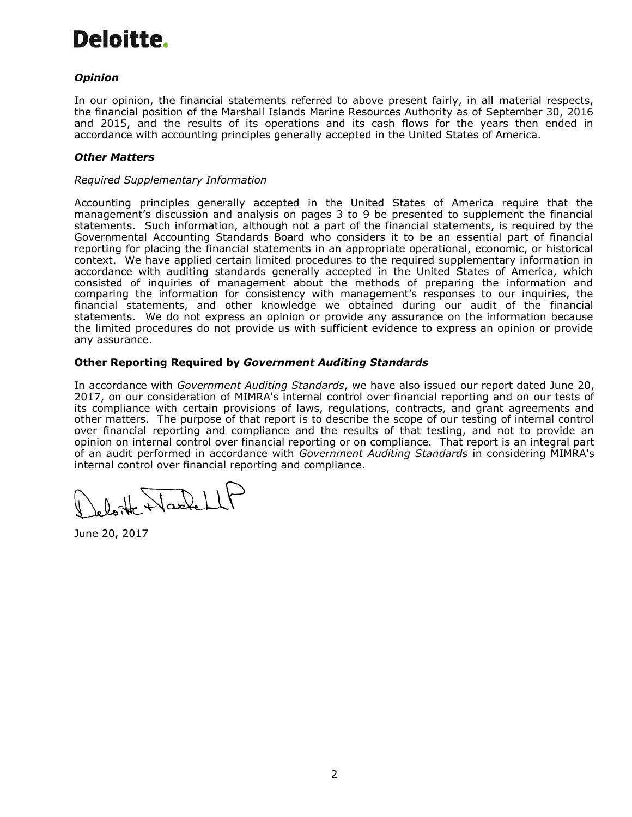# Deloitte.

# *Opinion*

In our opinion, the financial statements referred to above present fairly, in all material respects, the financial position of the Marshall Islands Marine Resources Authority as of September 30, 2016 and 2015, and the results of its operations and its cash flows for the years then ended in accordance with accounting principles generally accepted in the United States of America.

# *Other Matters*

#### *Required Supplementary Information*

Accounting principles generally accepted in the United States of America require that the management's discussion and analysis on pages 3 to 9 be presented to supplement the financial statements. Such information, although not a part of the financial statements, is required by the Governmental Accounting Standards Board who considers it to be an essential part of financial reporting for placing the financial statements in an appropriate operational, economic, or historical context. We have applied certain limited procedures to the required supplementary information in accordance with auditing standards generally accepted in the United States of America, which consisted of inquiries of management about the methods of preparing the information and comparing the information for consistency with management's responses to our inquiries, the financial statements, and other knowledge we obtained during our audit of the financial statements. We do not express an opinion or provide any assurance on the information because the limited procedures do not provide us with sufficient evidence to express an opinion or provide any assurance.

# **Other Reporting Required by** *Government Auditing Standards*

In accordance with *Government Auditing Standards*, we have also issued our report dated June 20, 2017, on our consideration of MIMRA's internal control over financial reporting and on our tests of its compliance with certain provisions of laws, regulations, contracts, and grant agreements and other matters. The purpose of that report is to describe the scope of our testing of internal control over financial reporting and compliance and the results of that testing, and not to provide an opinion on internal control over financial reporting or on compliance. That report is an integral part of an audit performed in accordance with *Government Auditing Standards* in considering MIMRA's internal control over financial reporting and compliance.

Harlell

June 20, 2017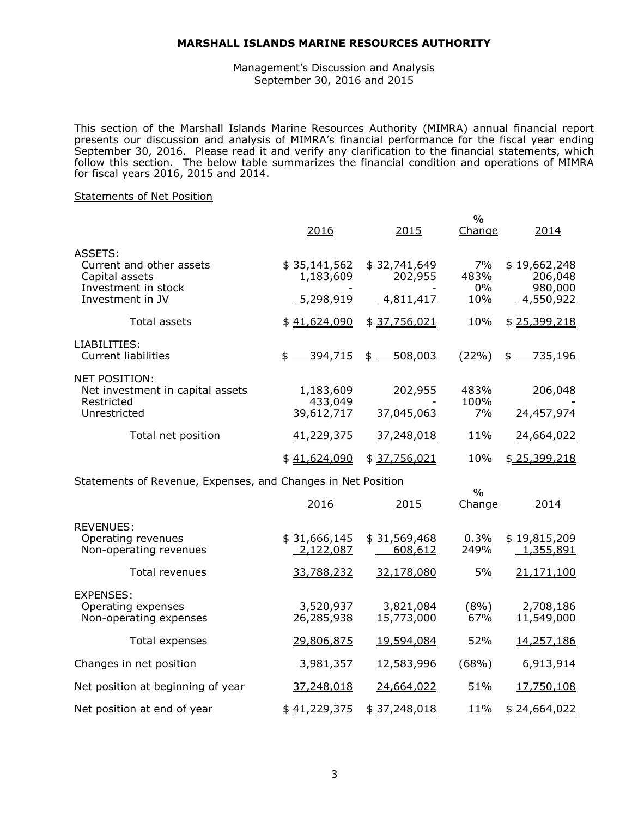Management's Discussion and Analysis September 30, 2016 and 2015

This section of the Marshall Islands Marine Resources Authority (MIMRA) annual financial report presents our discussion and analysis of MIMRA's financial performance for the fiscal year ending September 30, 2016. Please read it and verify any clarification to the financial statements, which follow this section. The below table summarizes the financial condition and operations of MIMRA for fiscal years 2016, 2015 and 2014.

 $0/2$ 

#### Statements of Net Position

|                                                                                                  | 2016                                   | 2015                                 | Change                  | 2014                                            |
|--------------------------------------------------------------------------------------------------|----------------------------------------|--------------------------------------|-------------------------|-------------------------------------------------|
| ASSETS:<br>Current and other assets<br>Capital assets<br>Investment in stock<br>Investment in JV | \$35,141,562<br>1,183,609<br>5,298,919 | \$32,741,649<br>202,955<br>4,811,417 | 7%<br>483%<br>0%<br>10% | \$19,662,248<br>206,048<br>980,000<br>4,550,922 |
| Total assets                                                                                     | \$41,624,090                           | \$37,756,021                         | 10%                     | \$25,399,218                                    |
| LIABILITIES:<br><b>Current liabilities</b>                                                       | \$<br>394,715                          | $$^{\circ}$<br>508,003               | $(22\%)$                | 735,196<br>$$^{\circ}$                          |
| <b>NET POSITION:</b><br>Net investment in capital assets<br>Restricted<br>Unrestricted           | 1,183,609<br>433,049<br>39,612,717     | 202,955<br>37,045,063                | 483%<br>100%<br>7%      | 206,048<br>24,457,974                           |
| Total net position                                                                               | 41,229,375                             | 37,248,018                           | 11%                     | 24,664,022                                      |
|                                                                                                  | \$41,624,090                           | \$37,756,021                         | 10%                     | \$25,399,218                                    |
| Statements of Revenue, Expenses, and Changes in Net Position                                     |                                        | $\frac{0}{0}$                        |                         |                                                 |
|                                                                                                  | 2016                                   | 2015                                 | Change                  | 2014                                            |
| <b>REVENUES:</b><br>Operating revenues<br>Non-operating revenues                                 | \$31,666,145<br>2,122,087              | \$31,569,468<br>608,612              | 0.3%<br>249%            | \$19,815,209<br>1,355,891                       |
| Total revenues                                                                                   | 33,788,232                             | 32,178,080                           | 5%                      | 21,171,100                                      |
| <b>EXPENSES:</b><br>Operating expenses<br>Non-operating expenses                                 | 3,520,937<br>26,285,938                | 3,821,084<br>15,773,000              | (8%)<br>67%             | 2,708,186<br>11,549,000                         |
| Total expenses                                                                                   | 29,806,875                             | 19,594,084                           | 52%                     | 14,257,186                                      |
| Changes in net position                                                                          | 3,981,357                              | 12,583,996                           | (68%)                   | 6,913,914                                       |
| Net position at beginning of year                                                                | 37,248,018                             | 24,664,022                           | 51%                     | 17,750,108                                      |
| Net position at end of year                                                                      | \$41,229,375                           | \$37,248,018                         | 11%                     | \$24,664,022                                    |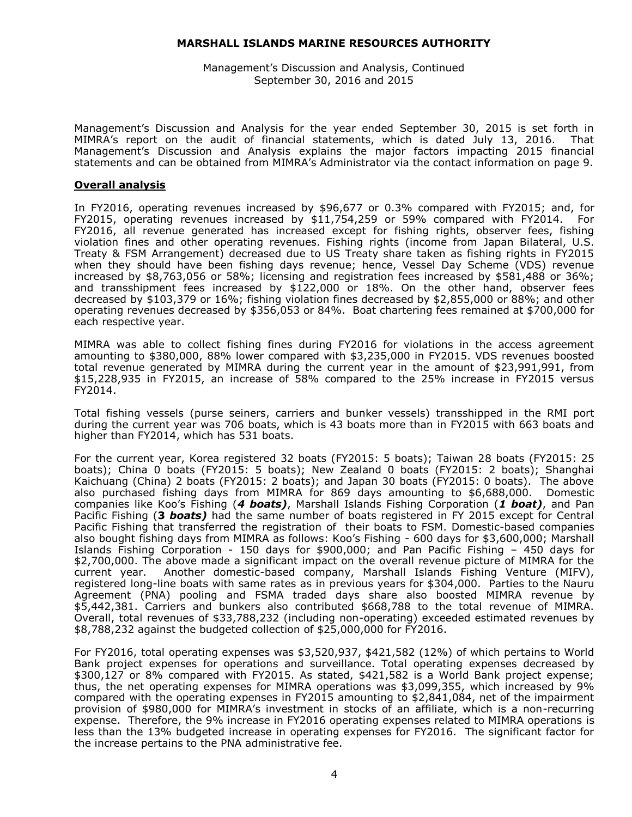Management's Discussion and Analysis, Continued September 30, 2016 and 2015

Management's Discussion and Analysis for the year ended September 30, 2015 is set forth in MIMRA's report on the audit of financial statements, which is dated July 13, 2016. That Management's Discussion and Analysis explains the major factors impacting 2015 financial statements and can be obtained from MIMRA's Administrator via the contact information on page 9.

#### **Overall analysis**

In FY2016, operating revenues increased by \$96,677 or 0.3% compared with FY2015; and, for FY2015, operating revenues increased by \$11,754,259 or 59% compared with FY2014. For FY2016, all revenue generated has increased except for fishing rights, observer fees, fishing violation fines and other operating revenues. Fishing rights (income from Japan Bilateral, U.S. Treaty & FSM Arrangement) decreased due to US Treaty share taken as fishing rights in FY2015 when they should have been fishing days revenue; hence, Vessel Day Scheme (VDS) revenue increased by \$8,763,056 or 58%; licensing and registration fees increased by \$581,488 or 36%; and transshipment fees increased by \$122,000 or 18%. On the other hand, observer fees decreased by \$103,379 or 16%; fishing violation fines decreased by \$2,855,000 or 88%; and other operating revenues decreased by \$356,053 or 84%. Boat chartering fees remained at \$700,000 for each respective year.

MIMRA was able to collect fishing fines during FY2016 for violations in the access agreement amounting to \$380,000, 88% lower compared with \$3,235,000 in FY2015. VDS revenues boosted total revenue generated by MIMRA during the current year in the amount of \$23,991,991, from \$15,228,935 in FY2015, an increase of 58% compared to the 25% increase in FY2015 versus FY2014.

Total fishing vessels (purse seiners, carriers and bunker vessels) transshipped in the RMI port during the current year was 706 boats, which is 43 boats more than in FY2015 with 663 boats and higher than FY2014, which has 531 boats.

For the current year, Korea registered 32 boats (FY2015: 5 boats); Taiwan 28 boats (FY2015: 25 boats); China 0 boats (FY2015: 5 boats); New Zealand 0 boats (FY2015: 2 boats); Shanghai Kaichuang (China) 2 boats (FY2015: 2 boats); and Japan 30 boats (FY2015: 0 boats). The above also purchased fishing days from MIMRA for 869 days amounting to \$6,688,000. Domestic companies like Koo's Fishing (*4 boats)*, Marshall Islands Fishing Corporation (*1 boat)*, and Pan Pacific Fishing (**3** *boats)* had the same number of boats registered in FY 2015 except for Central Pacific Fishing that transferred the registration of their boats to FSM. Domestic-based companies also bought fishing days from MIMRA as follows: Koo's Fishing - 600 days for \$3,600,000; Marshall Islands Fishing Corporation - 150 days for \$900,000; and Pan Pacific Fishing – 450 days for \$2,700,000. The above made a significant impact on the overall revenue picture of MIMRA for the current year. Another domestic-based company, Marshall Islands Fishing Venture (MIFV), registered long-line boats with same rates as in previous years for \$304,000. Parties to the Nauru Agreement (PNA) pooling and FSMA traded days share also boosted MIMRA revenue by \$5,442,381. Carriers and bunkers also contributed \$668,788 to the total revenue of MIMRA. Overall, total revenues of \$33,788,232 (including non-operating) exceeded estimated revenues by \$8,788,232 against the budgeted collection of \$25,000,000 for FY2016.

For FY2016, total operating expenses was \$3,520,937, \$421,582 (12%) of which pertains to World Bank project expenses for operations and surveillance. Total operating expenses decreased by \$300,127 or 8% compared with FY2015. As stated, \$421,582 is a World Bank project expense; thus, the net operating expenses for MIMRA operations was \$3,099,355, which increased by 9% compared with the operating expenses in FY2015 amounting to \$2,841,084, net of the impairment provision of \$980,000 for MIMRA's investment in stocks of an affiliate, which is a non-recurring expense. Therefore, the 9% increase in FY2016 operating expenses related to MIMRA operations is less than the 13% budgeted increase in operating expenses for FY2016. The significant factor for the increase pertains to the PNA administrative fee.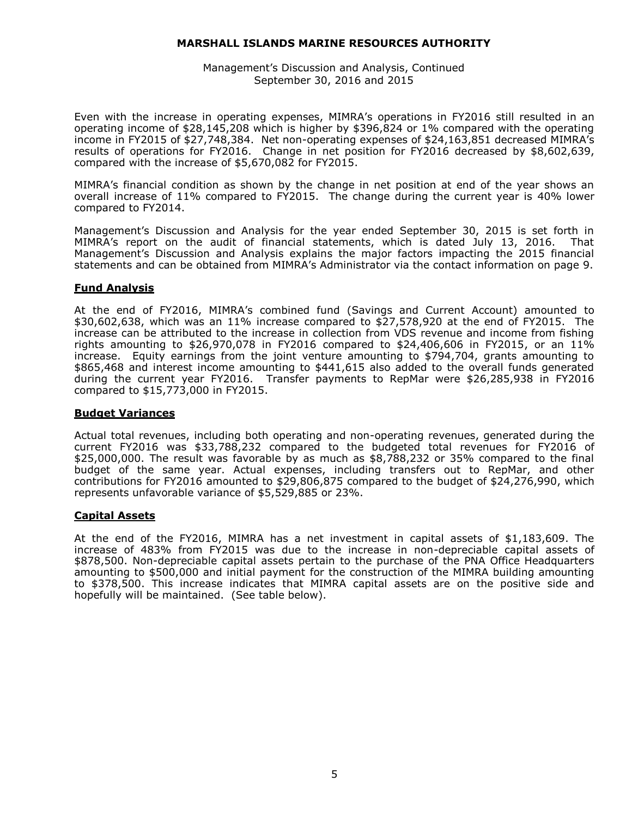Management's Discussion and Analysis, Continued September 30, 2016 and 2015

Even with the increase in operating expenses, MIMRA's operations in FY2016 still resulted in an operating income of \$28,145,208 which is higher by \$396,824 or 1% compared with the operating income in FY2015 of \$27,748,384. Net non-operating expenses of \$24,163,851 decreased MIMRA's results of operations for FY2016. Change in net position for FY2016 decreased by \$8,602,639, compared with the increase of \$5,670,082 for FY2015.

MIMRA's financial condition as shown by the change in net position at end of the year shows an overall increase of 11% compared to FY2015. The change during the current year is 40% lower compared to FY2014.

Management's Discussion and Analysis for the year ended September 30, 2015 is set forth in MIMRA's report on the audit of financial statements, which is dated July 13, 2016. That Management's Discussion and Analysis explains the major factors impacting the 2015 financial statements and can be obtained from MIMRA's Administrator via the contact information on page 9.

# **Fund Analysis**

At the end of FY2016, MIMRA's combined fund (Savings and Current Account) amounted to \$30,602,638, which was an 11% increase compared to \$27,578,920 at the end of FY2015. The increase can be attributed to the increase in collection from VDS revenue and income from fishing rights amounting to \$26,970,078 in FY2016 compared to \$24,406,606 in FY2015, or an  $11\%$ increase. Equity earnings from the joint venture amounting to \$794,704, grants amounting to \$865,468 and interest income amounting to \$441,615 also added to the overall funds generated during the current year FY2016. Transfer payments to RepMar were \$26,285,938 in FY2016 compared to \$15,773,000 in FY2015.

#### **Budget Variances**

Actual total revenues, including both operating and non-operating revenues, generated during the current FY2016 was \$33,788,232 compared to the budgeted total revenues for FY2016 of \$25,000,000. The result was favorable by as much as \$8,788,232 or 35% compared to the final budget of the same year. Actual expenses, including transfers out to RepMar, and other contributions for FY2016 amounted to \$29,806,875 compared to the budget of \$24,276,990, which represents unfavorable variance of \$5,529,885 or 23%.

# **Capital Assets**

At the end of the FY2016, MIMRA has a net investment in capital assets of \$1,183,609. The increase of 483% from FY2015 was due to the increase in non-depreciable capital assets of \$878,500. Non-depreciable capital assets pertain to the purchase of the PNA Office Headquarters amounting to \$500,000 and initial payment for the construction of the MIMRA building amounting to \$378,500. This increase indicates that MIMRA capital assets are on the positive side and hopefully will be maintained. (See table below).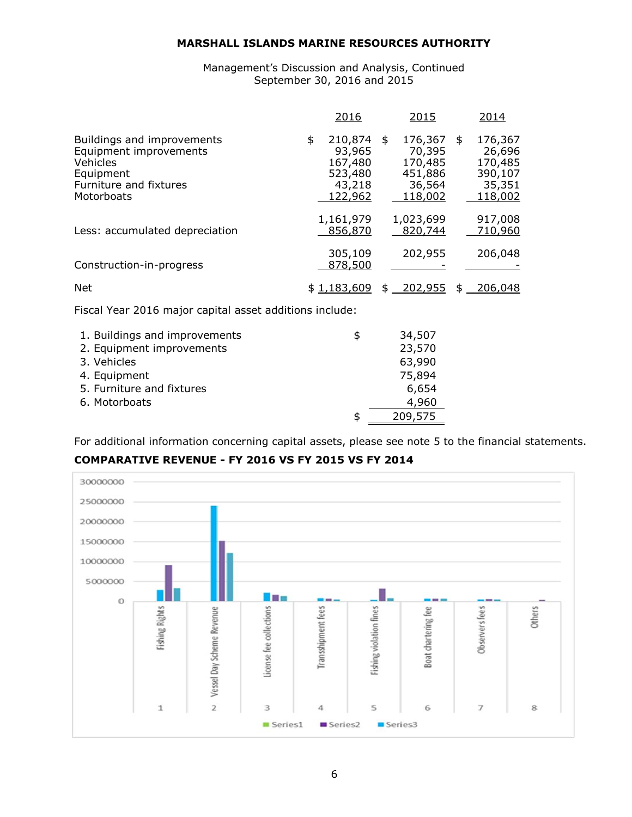Management's Discussion and Analysis, Continued September 30, 2016 and 2015

|                                                                                                                       | <u> 2016</u>                                                       | <u> 2015</u>                                                          | 2014                                                         |
|-----------------------------------------------------------------------------------------------------------------------|--------------------------------------------------------------------|-----------------------------------------------------------------------|--------------------------------------------------------------|
| Buildings and improvements<br>Equipment improvements<br>Vehicles<br>Equipment<br>Furniture and fixtures<br>Motorboats | \$<br>210,874<br>93,965<br>167,480<br>523,480<br>43,218<br>122,962 | \$<br>176,367 \$<br>70,395<br>170,485<br>451,886<br>36,564<br>118,002 | 176,367<br>26,696<br>170,485<br>390,107<br>35,351<br>118,002 |
| Less: accumulated depreciation                                                                                        | 1,161,979<br>856,870                                               | 1,023,699<br>820,744                                                  | 917,008<br>710,960                                           |
| Construction-in-progress                                                                                              | 305,109<br>878,500                                                 | 202,955                                                               | 206,048                                                      |
| <b>Net</b>                                                                                                            |                                                                    | $$1,183,609$ $$202,955$                                               | \$<br>206,048                                                |
| Fiscal Year 2016 major capital asset additions include:                                                               |                                                                    |                                                                       |                                                              |
| 1. Buildings and improvements<br>2. Equipment improvements<br>3. Vehicles<br>4 Equinment                              | \$                                                                 | 34,507<br>23,570<br>63,990<br><b>75 ROA</b>                           |                                                              |

| 4. Equipment              | 75,894  |
|---------------------------|---------|
| 5. Furniture and fixtures | 6,654   |
| 6. Motorboats             | 4,960   |
|                           | 209,575 |

For additional information concerning capital assets, please see note 5 to the financial statements.

**COMPARATIVE REVENUE - FY 2016 VS FY 2015 VS FY 2014**

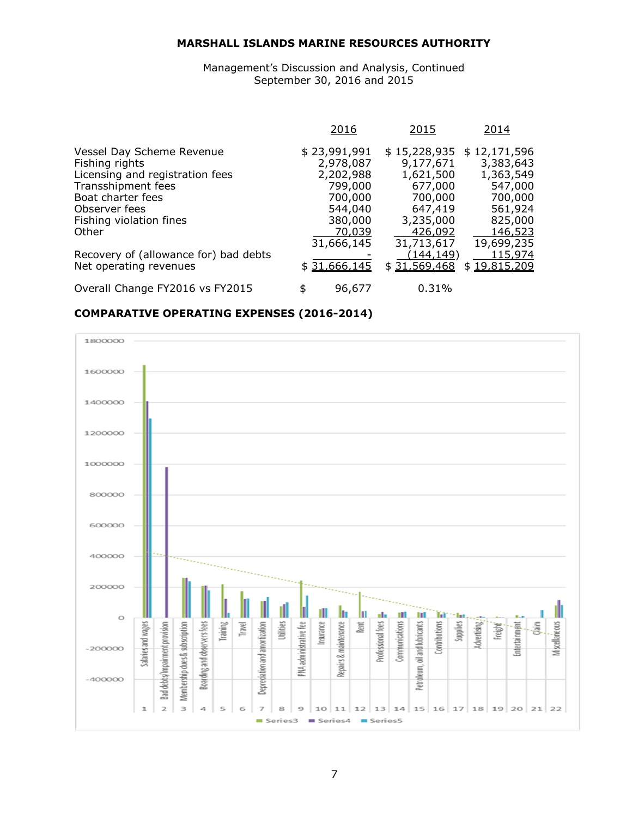Management's Discussion and Analysis, Continued September 30, 2016 and 2015

|                                       | 2016         | 2015             | 2014         |
|---------------------------------------|--------------|------------------|--------------|
| Vessel Day Scheme Revenue             | \$23,991,991 | \$15,228,935     | \$12,171,596 |
| Fishing rights                        | 2,978,087    | 9,177,671        | 3,383,643    |
| Licensing and registration fees       | 2,202,988    | 1,621,500        | 1,363,549    |
| Transshipment fees                    | 799,000      | 677,000          | 547,000      |
| Boat charter fees                     | 700,000      | 700,000          | 700,000      |
| Observer fees                         | 544,040      | 647,419          | 561,924      |
| Fishing violation fines               | 380,000      | 3,235,000        | 825,000      |
| Other                                 | 70,039       | 426,092          | 146,523      |
|                                       | 31,666,145   | 31,713,617       | 19,699,235   |
| Recovery of (allowance for) bad debts |              | <u>(144,149)</u> | 115,974      |
| Net operating revenues                | \$31,666,145 | \$31,569,468     | \$19,815,209 |
| Overall Change FY2016 vs FY2015       | 96,677       | 0.31%            |              |

# **COMPARATIVE OPERATING EXPENSES (2016-2014)**

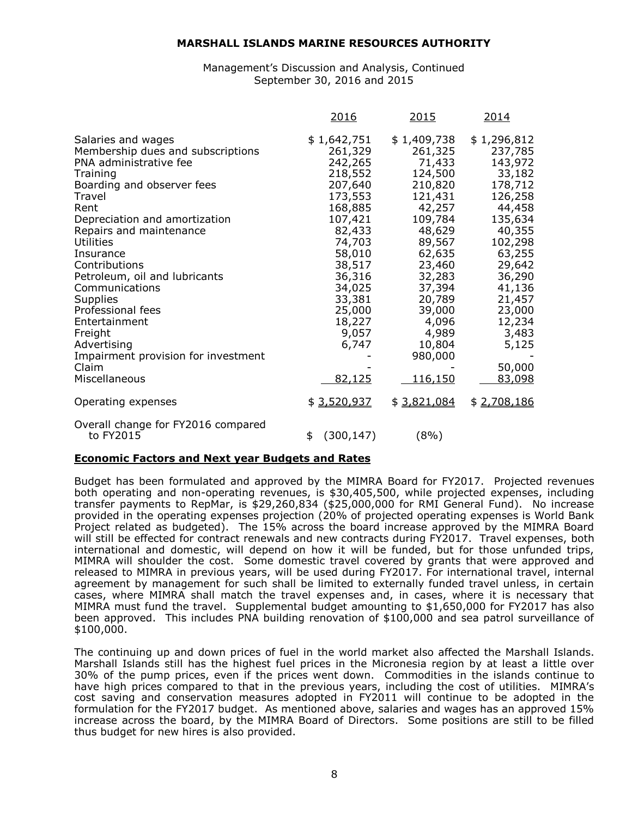Management's Discussion and Analysis, Continued September 30, 2016 and 2015

|                                                                                                                                                                                                                                                                                                                                                                                                                                                             | 2016                                                                                                                                                                                                           | <u> 2015</u>                                                                                                                                                                                                                    | 2014                                                                                                                                                                                                                    |
|-------------------------------------------------------------------------------------------------------------------------------------------------------------------------------------------------------------------------------------------------------------------------------------------------------------------------------------------------------------------------------------------------------------------------------------------------------------|----------------------------------------------------------------------------------------------------------------------------------------------------------------------------------------------------------------|---------------------------------------------------------------------------------------------------------------------------------------------------------------------------------------------------------------------------------|-------------------------------------------------------------------------------------------------------------------------------------------------------------------------------------------------------------------------|
| Salaries and wages<br>Membership dues and subscriptions<br>PNA administrative fee<br>Training<br>Boarding and observer fees<br>Travel<br>Rent<br>Depreciation and amortization<br>Repairs and maintenance<br>Utilities<br>Insurance<br>Contributions<br>Petroleum, oil and lubricants<br>Communications<br><b>Supplies</b><br>Professional fees<br>Entertainment<br>Freight<br>Advertising<br>Impairment provision for investment<br>Claim<br>Miscellaneous | \$1,642,751<br>261,329<br>242,265<br>218,552<br>207,640<br>173,553<br>168,885<br>107,421<br>82,433<br>74,703<br>58,010<br>38,517<br>36,316<br>34,025<br>33,381<br>25,000<br>18,227<br>9,057<br>6,747<br>82,125 | \$1,409,738<br>261,325<br>71,433<br>124,500<br>210,820<br>121,431<br>42,257<br>109,784<br>48,629<br>89,567<br>62,635<br>23,460<br>32,283<br>37,394<br>20,789<br>39,000<br>4,096<br>4,989<br>10,804<br>980,000<br><u>116,150</u> | \$1,296,812<br>237,785<br>143,972<br>33,182<br>178,712<br>126,258<br>44,458<br>135,634<br>40,355<br>102,298<br>63,255<br>29,642<br>36,290<br>41,136<br>21,457<br>23,000<br>12,234<br>3,483<br>5,125<br>50,000<br>83,098 |
| Operating expenses                                                                                                                                                                                                                                                                                                                                                                                                                                          | \$3,520,937                                                                                                                                                                                                    | \$3,821,084                                                                                                                                                                                                                     | \$2,708,186                                                                                                                                                                                                             |
| Overall change for FY2016 compared<br>to FY2015                                                                                                                                                                                                                                                                                                                                                                                                             | (300, 147)<br>\$                                                                                                                                                                                               | $(8\%)$                                                                                                                                                                                                                         |                                                                                                                                                                                                                         |

#### **Economic Factors and Next year Budgets and Rates**

Budget has been formulated and approved by the MIMRA Board for FY2017. Projected revenues both operating and non-operating revenues, is \$30,405,500, while projected expenses, including transfer payments to RepMar, is \$29,260,834 (\$25,000,000 for RMI General Fund). No increase provided in the operating expenses projection (20% of projected operating expenses is World Bank Project related as budgeted). The 15% across the board increase approved by the MIMRA Board will still be effected for contract renewals and new contracts during FY2017. Travel expenses, both international and domestic, will depend on how it will be funded, but for those unfunded trips, MIMRA will shoulder the cost. Some domestic travel covered by grants that were approved and released to MIMRA in previous years, will be used during FY2017. For international travel, internal agreement by management for such shall be limited to externally funded travel unless, in certain cases, where MIMRA shall match the travel expenses and, in cases, where it is necessary that MIMRA must fund the travel. Supplemental budget amounting to \$1,650,000 for FY2017 has also been approved. This includes PNA building renovation of \$100,000 and sea patrol surveillance of \$100,000.

The continuing up and down prices of fuel in the world market also affected the Marshall Islands. Marshall Islands still has the highest fuel prices in the Micronesia region by at least a little over 30% of the pump prices, even if the prices went down. Commodities in the islands continue to have high prices compared to that in the previous years, including the cost of utilities. MIMRA's cost saving and conservation measures adopted in FY2011 will continue to be adopted in the formulation for the FY2017 budget. As mentioned above, salaries and wages has an approved 15% increase across the board, by the MIMRA Board of Directors. Some positions are still to be filled thus budget for new hires is also provided.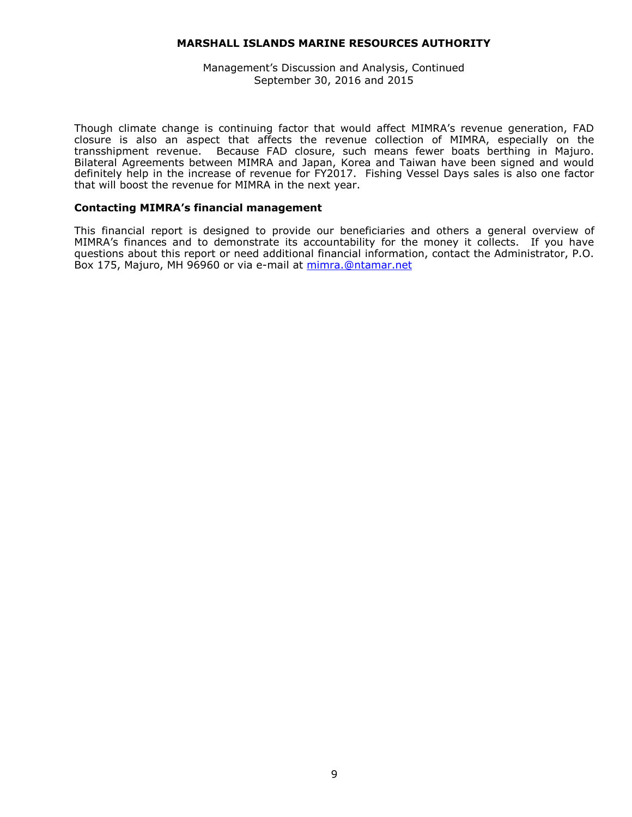#### Management's Discussion and Analysis, Continued September 30, 2016 and 2015

Though climate change is continuing factor that would affect MIMRA's revenue generation, FAD closure is also an aspect that affects the revenue collection of MIMRA, especially on the transshipment revenue. Because FAD closure, such means fewer boats berthing in Majuro. Bilateral Agreements between MIMRA and Japan, Korea and Taiwan have been signed and would definitely help in the increase of revenue for FY2017. Fishing Vessel Days sales is also one factor that will boost the revenue for MIMRA in the next year.

#### **Contacting MIMRA's financial management**

This financial report is designed to provide our beneficiaries and others a general overview of MIMRA's finances and to demonstrate its accountability for the money it collects. If you have questions about this report or need additional financial information, contact the Administrator, P.O. Box 175, Majuro, MH 96960 or via e-mail at [mimra.@ntamar.net](mailto:mimra.@ntamar.net)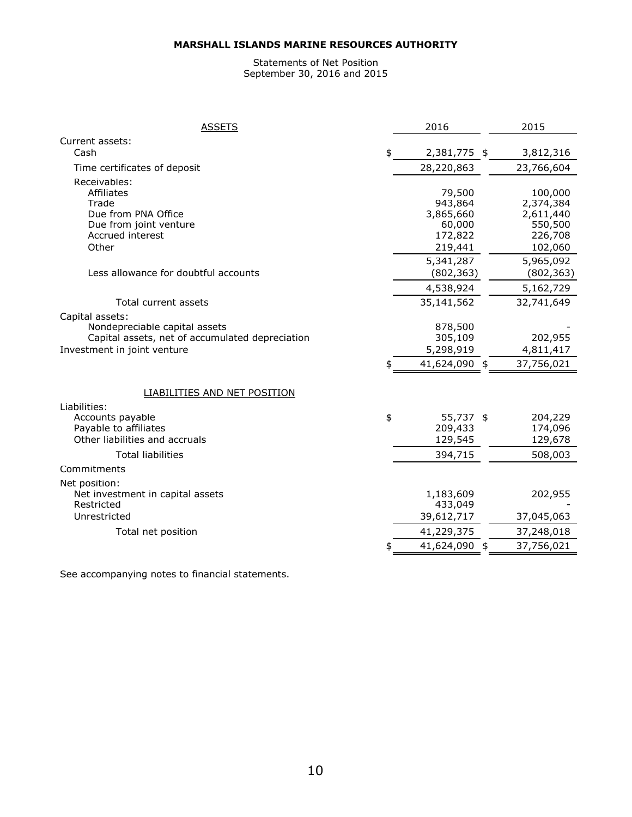#### Statements of Net Position September 30, 2016 and 2015

| <b>ASSETS</b>                                       | 2016               | 2015               |
|-----------------------------------------------------|--------------------|--------------------|
| Current assets:                                     |                    |                    |
| Cash                                                | \$<br>2,381,775 \$ | 3,812,316          |
| Time certificates of deposit                        | 28,220,863         | 23,766,604         |
| Receivables:                                        |                    |                    |
| <b>Affiliates</b>                                   | 79,500             | 100,000            |
| Trade                                               | 943,864            | 2,374,384          |
| Due from PNA Office                                 | 3,865,660          | 2,611,440          |
| Due from joint venture<br>Accrued interest          | 60,000<br>172,822  | 550,500<br>226,708 |
| Other                                               | 219,441            | 102,060            |
|                                                     | 5,341,287          | 5,965,092          |
| Less allowance for doubtful accounts                | (802, 363)         | (802, 363)         |
|                                                     | 4,538,924          | 5,162,729          |
| Total current assets                                | 35,141,562         | 32,741,649         |
| Capital assets:                                     |                    |                    |
| Nondepreciable capital assets                       | 878,500            |                    |
| Capital assets, net of accumulated depreciation     | 305,109            | 202,955            |
| Investment in joint venture                         | 5,298,919          | 4,811,417          |
|                                                     | 41,624,090 \$      | 37,756,021         |
|                                                     |                    |                    |
| <b>LIABILITIES AND NET POSITION</b><br>Liabilities: |                    |                    |
| Accounts payable                                    | \$<br>55,737 \$    | 204,229            |
| Payable to affiliates                               | 209,433            | 174,096            |
| Other liabilities and accruals                      | 129,545            | 129,678            |
| <b>Total liabilities</b>                            | 394,715            | 508,003            |
| Commitments                                         |                    |                    |
| Net position:                                       |                    |                    |
| Net investment in capital assets                    | 1,183,609          | 202,955            |
| Restricted                                          | 433,049            |                    |
| Unrestricted                                        | 39,612,717         | 37,045,063         |
| Total net position                                  | 41,229,375         | 37,248,018         |
|                                                     | \$<br>41,624,090   | \$<br>37,756,021   |

See accompanying notes to financial statements.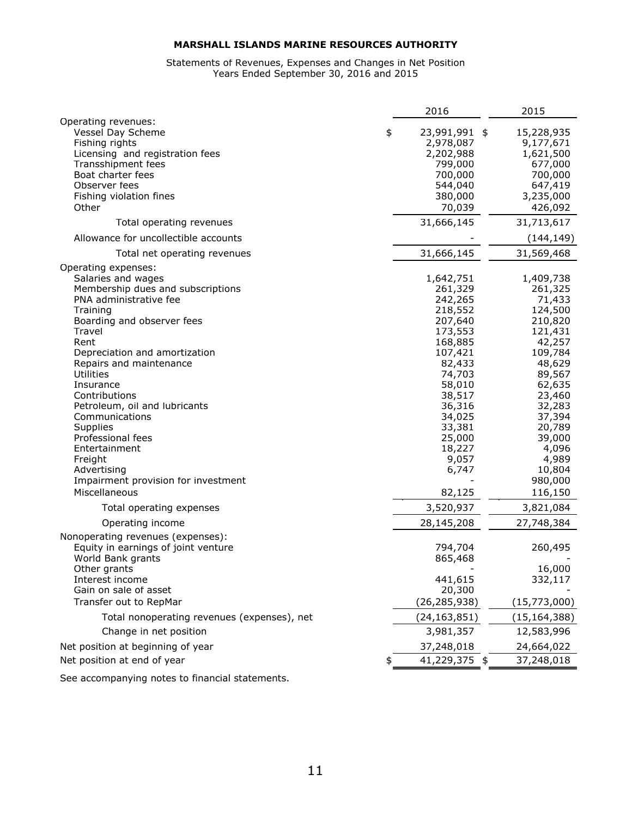#### Statements of Revenues, Expenses and Changes in Net Position Years Ended September 30, 2016 and 2015

|                                                                                                                                                                                                                                                                                                                                                                                                                                                                           | 2016                                                                                                                                                                                                         | 2015                                                                                                                                                                                                                   |
|---------------------------------------------------------------------------------------------------------------------------------------------------------------------------------------------------------------------------------------------------------------------------------------------------------------------------------------------------------------------------------------------------------------------------------------------------------------------------|--------------------------------------------------------------------------------------------------------------------------------------------------------------------------------------------------------------|------------------------------------------------------------------------------------------------------------------------------------------------------------------------------------------------------------------------|
| Operating revenues:<br>Vessel Day Scheme<br>Fishing rights<br>Licensing and registration fees<br>Transshipment fees<br>Boat charter fees<br>Observer fees                                                                                                                                                                                                                                                                                                                 | \$<br>23,991,991 \$<br>2,978,087<br>2,202,988<br>799,000<br>700,000<br>544,040                                                                                                                               | 15,228,935<br>9,177,671<br>1,621,500<br>677,000<br>700,000<br>647,419                                                                                                                                                  |
| Fishing violation fines                                                                                                                                                                                                                                                                                                                                                                                                                                                   | 380,000                                                                                                                                                                                                      | 3,235,000                                                                                                                                                                                                              |
| Other                                                                                                                                                                                                                                                                                                                                                                                                                                                                     | 70,039                                                                                                                                                                                                       | 426,092                                                                                                                                                                                                                |
| Total operating revenues                                                                                                                                                                                                                                                                                                                                                                                                                                                  | 31,666,145                                                                                                                                                                                                   | 31,713,617                                                                                                                                                                                                             |
| Allowance for uncollectible accounts                                                                                                                                                                                                                                                                                                                                                                                                                                      |                                                                                                                                                                                                              | (144, 149)                                                                                                                                                                                                             |
| Total net operating revenues                                                                                                                                                                                                                                                                                                                                                                                                                                              | 31,666,145                                                                                                                                                                                                   | 31,569,468                                                                                                                                                                                                             |
| Operating expenses:<br>Salaries and wages<br>Membership dues and subscriptions<br>PNA administrative fee<br>Training<br>Boarding and observer fees<br>Travel<br>Rent<br>Depreciation and amortization<br>Repairs and maintenance<br><b>Utilities</b><br>Insurance<br>Contributions<br>Petroleum, oil and lubricants<br>Communications<br>Supplies<br>Professional fees<br>Entertainment<br>Freight<br>Advertising<br>Impairment provision for investment<br>Miscellaneous | 1,642,751<br>261,329<br>242,265<br>218,552<br>207,640<br>173,553<br>168,885<br>107,421<br>82,433<br>74,703<br>58,010<br>38,517<br>36,316<br>34,025<br>33,381<br>25,000<br>18,227<br>9,057<br>6,747<br>82,125 | 1,409,738<br>261,325<br>71,433<br>124,500<br>210,820<br>121,431<br>42,257<br>109,784<br>48,629<br>89,567<br>62,635<br>23,460<br>32,283<br>37,394<br>20,789<br>39,000<br>4,096<br>4,989<br>10,804<br>980,000<br>116,150 |
| Total operating expenses                                                                                                                                                                                                                                                                                                                                                                                                                                                  | 3,520,937                                                                                                                                                                                                    | 3,821,084                                                                                                                                                                                                              |
| Operating income                                                                                                                                                                                                                                                                                                                                                                                                                                                          | 28,145,208                                                                                                                                                                                                   | 27,748,384                                                                                                                                                                                                             |
| Nonoperating revenues (expenses):<br>Equity in earnings of joint venture<br>World Bank grants                                                                                                                                                                                                                                                                                                                                                                             | 794,704<br>865,468                                                                                                                                                                                           | 260,495                                                                                                                                                                                                                |
| Other grants<br>Interest income<br>Gain on sale of asset                                                                                                                                                                                                                                                                                                                                                                                                                  | 441,615<br>20,300                                                                                                                                                                                            | 16,000<br>332,117                                                                                                                                                                                                      |
| Transfer out to RepMar                                                                                                                                                                                                                                                                                                                                                                                                                                                    | (26, 285, 938)                                                                                                                                                                                               | (15,773,000)                                                                                                                                                                                                           |
| Total nonoperating revenues (expenses), net                                                                                                                                                                                                                                                                                                                                                                                                                               | (24, 163, 851)                                                                                                                                                                                               | (15, 164, 388)                                                                                                                                                                                                         |
| Change in net position                                                                                                                                                                                                                                                                                                                                                                                                                                                    | 3,981,357                                                                                                                                                                                                    | 12,583,996                                                                                                                                                                                                             |
| Net position at beginning of year                                                                                                                                                                                                                                                                                                                                                                                                                                         | 37,248,018                                                                                                                                                                                                   | 24,664,022                                                                                                                                                                                                             |
| Net position at end of year                                                                                                                                                                                                                                                                                                                                                                                                                                               | 41,229,375 \$                                                                                                                                                                                                | 37,248,018                                                                                                                                                                                                             |

See accompanying notes to financial statements.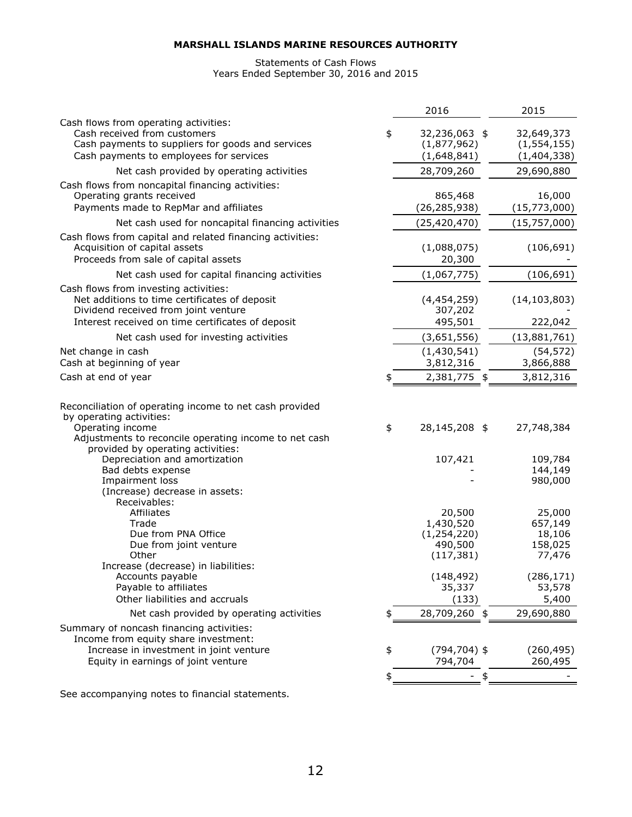#### Statements of Cash Flows Years Ended September 30, 2016 and 2015

|                                                                                                                                                                                                                                                                                                                                                                                                                                                                                                                                         | 2016                                                                                                                             | 2015                                                                                                                             |
|-----------------------------------------------------------------------------------------------------------------------------------------------------------------------------------------------------------------------------------------------------------------------------------------------------------------------------------------------------------------------------------------------------------------------------------------------------------------------------------------------------------------------------------------|----------------------------------------------------------------------------------------------------------------------------------|----------------------------------------------------------------------------------------------------------------------------------|
| Cash flows from operating activities:<br>Cash received from customers<br>Cash payments to suppliers for goods and services<br>Cash payments to employees for services                                                                                                                                                                                                                                                                                                                                                                   | \$<br>32,236,063 \$<br>(1,877,962)<br>(1,648,841)                                                                                | 32,649,373<br>(1, 554, 155)<br>(1,404,338)                                                                                       |
| Net cash provided by operating activities                                                                                                                                                                                                                                                                                                                                                                                                                                                                                               | 28,709,260                                                                                                                       | 29,690,880                                                                                                                       |
| Cash flows from noncapital financing activities:<br>Operating grants received<br>Payments made to RepMar and affiliates                                                                                                                                                                                                                                                                                                                                                                                                                 | 865,468<br>(26, 285, 938)                                                                                                        | 16,000<br>(15, 773, 000)                                                                                                         |
| Net cash used for noncapital financing activities                                                                                                                                                                                                                                                                                                                                                                                                                                                                                       | (25, 420, 470)                                                                                                                   | (15, 757, 000)                                                                                                                   |
| Cash flows from capital and related financing activities:<br>Acquisition of capital assets<br>Proceeds from sale of capital assets                                                                                                                                                                                                                                                                                                                                                                                                      | (1,088,075)<br>20,300                                                                                                            | (106, 691)                                                                                                                       |
| Net cash used for capital financing activities                                                                                                                                                                                                                                                                                                                                                                                                                                                                                          | (1,067,775)                                                                                                                      | (106, 691)                                                                                                                       |
| Cash flows from investing activities:<br>Net additions to time certificates of deposit<br>Dividend received from joint venture<br>Interest received on time certificates of deposit                                                                                                                                                                                                                                                                                                                                                     | (4,454,259)<br>307,202<br>495,501                                                                                                | (14, 103, 803)<br>222,042                                                                                                        |
| Net cash used for investing activities                                                                                                                                                                                                                                                                                                                                                                                                                                                                                                  | (3,651,556)                                                                                                                      | (13,881,761)                                                                                                                     |
| Net change in cash<br>Cash at beginning of year                                                                                                                                                                                                                                                                                                                                                                                                                                                                                         | (1, 430, 541)<br>3,812,316                                                                                                       | (54, 572)<br>3,866,888                                                                                                           |
| Cash at end of year                                                                                                                                                                                                                                                                                                                                                                                                                                                                                                                     | 2,381,775 \$                                                                                                                     | 3,812,316                                                                                                                        |
| Reconciliation of operating income to net cash provided<br>by operating activities:<br>Operating income<br>Adjustments to reconcile operating income to net cash<br>provided by operating activities:<br>Depreciation and amortization<br>Bad debts expense<br>Impairment loss<br>(Increase) decrease in assets:<br>Receivables:<br>Affiliates<br>Trade<br>Due from PNA Office<br>Due from joint venture<br>Other<br>Increase (decrease) in liabilities:<br>Accounts payable<br>Payable to affiliates<br>Other liabilities and accruals | \$<br>28,145,208 \$<br>107,421<br>20,500<br>1,430,520<br>(1, 254, 220)<br>490,500<br>(117, 381)<br>(148, 492)<br>35,337<br>(133) | 27,748,384<br>109,784<br>144,149<br>980,000<br>25,000<br>657,149<br>18,106<br>158,025<br>77,476<br>(286, 171)<br>53,578<br>5,400 |
| Net cash provided by operating activities                                                                                                                                                                                                                                                                                                                                                                                                                                                                                               | 28,709,260<br>\$                                                                                                                 | 29,690,880                                                                                                                       |
| Summary of noncash financing activities:                                                                                                                                                                                                                                                                                                                                                                                                                                                                                                |                                                                                                                                  |                                                                                                                                  |
| Income from equity share investment:<br>Increase in investment in joint venture<br>Equity in earnings of joint venture                                                                                                                                                                                                                                                                                                                                                                                                                  | \$<br>$(794, 704)$ \$<br>794,704                                                                                                 | (260, 495)<br>260,495                                                                                                            |
|                                                                                                                                                                                                                                                                                                                                                                                                                                                                                                                                         | \$<br>\$                                                                                                                         |                                                                                                                                  |

See accompanying notes to financial statements.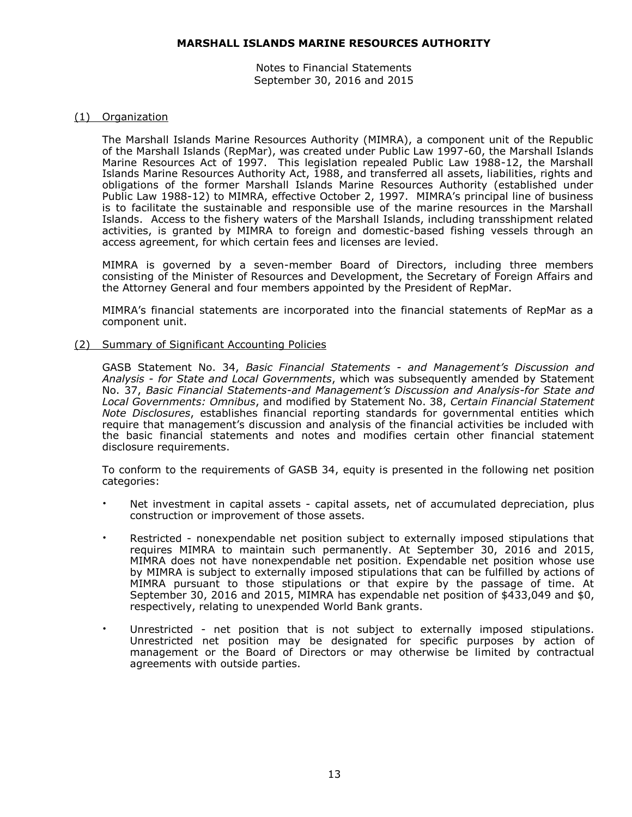Notes to Financial Statements September 30, 2016 and 2015

#### (1) Organization

The Marshall Islands Marine Resources Authority (MIMRA), a component unit of the Republic of the Marshall Islands (RepMar), was created under Public Law 1997-60, the Marshall Islands Marine Resources Act of 1997. This legislation repealed Public Law 1988-12, the Marshall Islands Marine Resources Authority Act, 1988, and transferred all assets, liabilities, rights and obligations of the former Marshall Islands Marine Resources Authority (established under Public Law 1988-12) to MIMRA, effective October 2, 1997. MIMRA's principal line of business is to facilitate the sustainable and responsible use of the marine resources in the Marshall Islands. Access to the fishery waters of the Marshall Islands, including transshipment related activities, is granted by MIMRA to foreign and domestic-based fishing vessels through an access agreement, for which certain fees and licenses are levied.

MIMRA is governed by a seven-member Board of Directors, including three members consisting of the Minister of Resources and Development, the Secretary of Foreign Affairs and the Attorney General and four members appointed by the President of RepMar.

MIMRA's financial statements are incorporated into the financial statements of RepMar as a component unit.

#### (2) Summary of Significant Accounting Policies

GASB Statement No. 34, *Basic Financial Statements - and Management's Discussion and Analysis - for State and Local Governments*, which was subsequently amended by Statement No. 37, *Basic Financial Statements-and Management's Discussion and Analysis-for State and Local Governments: Omnibus*, and modified by Statement No. 38, *Certain Financial Statement Note Disclosures*, establishes financial reporting standards for governmental entities which require that management's discussion and analysis of the financial activities be included with the basic financial statements and notes and modifies certain other financial statement disclosure requirements.

To conform to the requirements of GASB 34, equity is presented in the following net position categories:

- Net investment in capital assets capital assets, net of accumulated depreciation, plus construction or improvement of those assets.
- Restricted nonexpendable net position subject to externally imposed stipulations that requires MIMRA to maintain such permanently. At September 30, 2016 and 2015, MIMRA does not have nonexpendable net position. Expendable net position whose use by MIMRA is subject to externally imposed stipulations that can be fulfilled by actions of MIMRA pursuant to those stipulations or that expire by the passage of time. At September 30, 2016 and 2015, MIMRA has expendable net position of \$433,049 and \$0, respectively, relating to unexpended World Bank grants.
- Unrestricted net position that is not subject to externally imposed stipulations. Unrestricted net position may be designated for specific purposes by action of management or the Board of Directors or may otherwise be limited by contractual agreements with outside parties.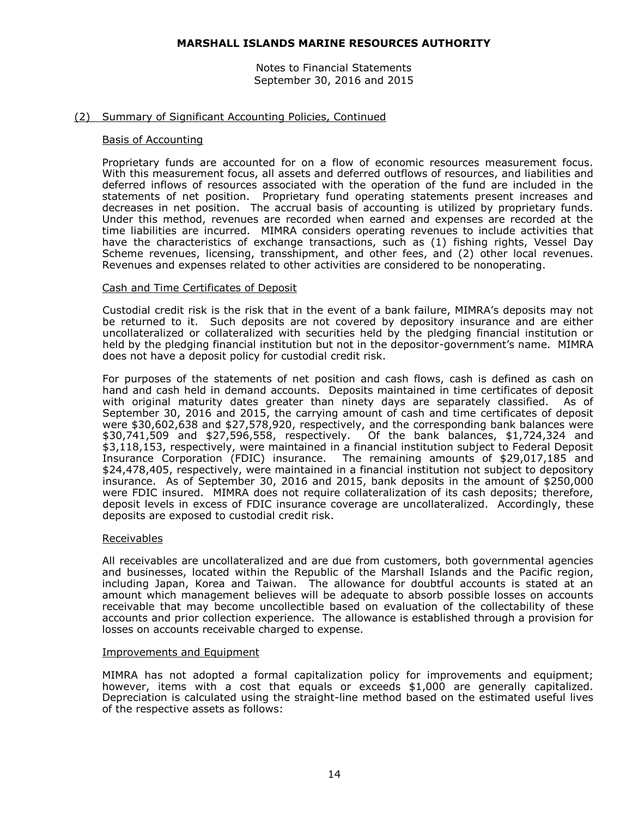Notes to Financial Statements September 30, 2016 and 2015

#### (2) Summary of Significant Accounting Policies, Continued

#### Basis of Accounting

Proprietary funds are accounted for on a flow of economic resources measurement focus. With this measurement focus, all assets and deferred outflows of resources, and liabilities and deferred inflows of resources associated with the operation of the fund are included in the statements of net position. Proprietary fund operating statements present increases and decreases in net position. The accrual basis of accounting is utilized by proprietary funds. Under this method, revenues are recorded when earned and expenses are recorded at the time liabilities are incurred. MIMRA considers operating revenues to include activities that have the characteristics of exchange transactions, such as (1) fishing rights, Vessel Day Scheme revenues, licensing, transshipment, and other fees, and (2) other local revenues. Revenues and expenses related to other activities are considered to be nonoperating.

#### Cash and Time Certificates of Deposit

Custodial credit risk is the risk that in the event of a bank failure, MIMRA's deposits may not be returned to it. Such deposits are not covered by depository insurance and are either uncollateralized or collateralized with securities held by the pledging financial institution or held by the pledging financial institution but not in the depositor-government's name. MIMRA does not have a deposit policy for custodial credit risk.

For purposes of the statements of net position and cash flows, cash is defined as cash on hand and cash held in demand accounts. Deposits maintained in time certificates of deposit with original maturity dates greater than ninety days are separately classified. As of September 30, 2016 and 2015, the carrying amount of cash and time certificates of deposit were \$30,602,638 and \$27,578,920, respectively, and the corresponding bank balances were \$30,741,509 and \$27,596,558, respectively. Of the bank balances, \$1,724,324 and \$3,118,153, respectively, were maintained in a financial institution subject to Federal Deposit Insurance Corporation (FDIC) insurance. The remaining amounts of \$29,017,185 and \$24,478,405, respectively, were maintained in a financial institution not subject to depository insurance. As of September 30, 2016 and 2015, bank deposits in the amount of \$250,000 were FDIC insured. MIMRA does not require collateralization of its cash deposits; therefore, deposit levels in excess of FDIC insurance coverage are uncollateralized. Accordingly, these deposits are exposed to custodial credit risk.

#### Receivables

All receivables are uncollateralized and are due from customers, both governmental agencies and businesses, located within the Republic of the Marshall Islands and the Pacific region, including Japan, Korea and Taiwan. The allowance for doubtful accounts is stated at an amount which management believes will be adequate to absorb possible losses on accounts receivable that may become uncollectible based on evaluation of the collectability of these accounts and prior collection experience. The allowance is established through a provision for losses on accounts receivable charged to expense.

#### Improvements and Equipment

MIMRA has not adopted a formal capitalization policy for improvements and equipment; however, items with a cost that equals or exceeds \$1,000 are generally capitalized. Depreciation is calculated using the straight-line method based on the estimated useful lives of the respective assets as follows: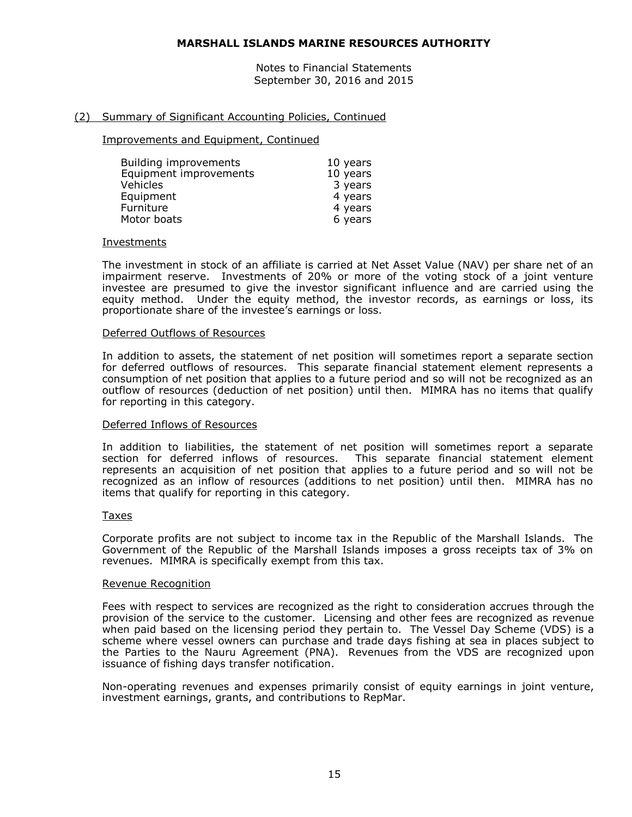Notes to Financial Statements September 30, 2016 and 2015

#### (2) Summary of Significant Accounting Policies, Continued

Improvements and Equipment, Continued

| Building improvements  | 10 years |
|------------------------|----------|
| Equipment improvements | 10 years |
| Vehicles               | 3 years  |
| Equipment              | 4 years  |
| Furniture              | 4 years  |
| Motor boats            | 6 years  |

#### Investments

The investment in stock of an affiliate is carried at Net Asset Value (NAV) per share net of an impairment reserve. Investments of 20% or more of the voting stock of a joint venture investee are presumed to give the investor significant influence and are carried using the equity method. Under the equity method, the investor records, as earnings or loss, its proportionate share of the investee's earnings or loss.

#### Deferred Outflows of Resources

In addition to assets, the statement of net position will sometimes report a separate section for deferred outflows of resources. This separate financial statement element represents a consumption of net position that applies to a future period and so will not be recognized as an outflow of resources (deduction of net position) until then. MIMRA has no items that qualify for reporting in this category.

#### Deferred Inflows of Resources

In addition to liabilities, the statement of net position will sometimes report a separate section for deferred inflows of resources. This separate financial statement element represents an acquisition of net position that applies to a future period and so will not be recognized as an inflow of resources (additions to net position) until then. MIMRA has no items that qualify for reporting in this category.

#### Taxes

Corporate profits are not subject to income tax in the Republic of the Marshall Islands. The Government of the Republic of the Marshall Islands imposes a gross receipts tax of 3% on revenues. MIMRA is specifically exempt from this tax.

#### Revenue Recognition

Fees with respect to services are recognized as the right to consideration accrues through the provision of the service to the customer. Licensing and other fees are recognized as revenue when paid based on the licensing period they pertain to. The Vessel Day Scheme (VDS) is a scheme where vessel owners can purchase and trade days fishing at sea in places subject to the Parties to the Nauru Agreement (PNA). Revenues from the VDS are recognized upon issuance of fishing days transfer notification.

Non-operating revenues and expenses primarily consist of equity earnings in joint venture, investment earnings, grants, and contributions to RepMar.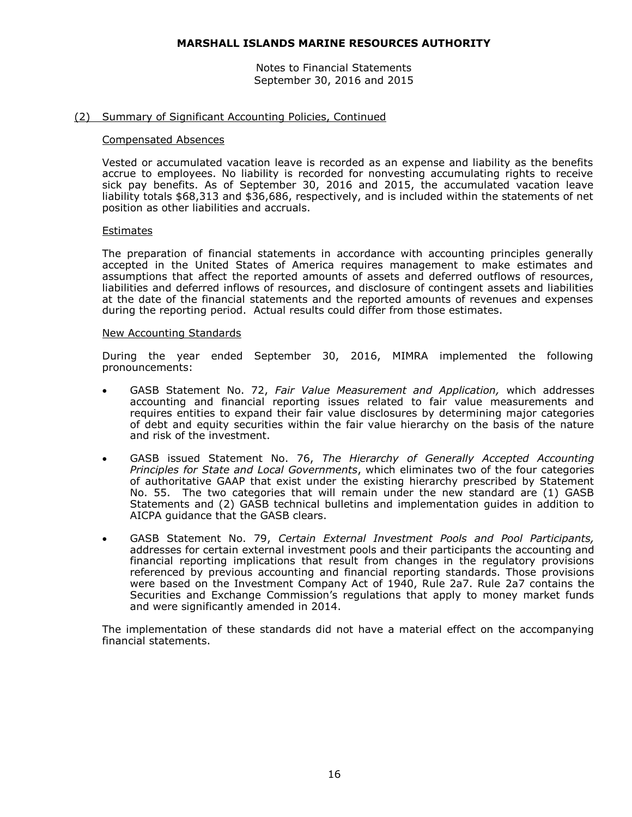Notes to Financial Statements September 30, 2016 and 2015

#### (2) Summary of Significant Accounting Policies, Continued

#### Compensated Absences

Vested or accumulated vacation leave is recorded as an expense and liability as the benefits accrue to employees. No liability is recorded for nonvesting accumulating rights to receive sick pay benefits. As of September 30, 2016 and 2015, the accumulated vacation leave liability totals \$68,313 and \$36,686, respectively, and is included within the statements of net position as other liabilities and accruals.

#### Estimates

The preparation of financial statements in accordance with accounting principles generally accepted in the United States of America requires management to make estimates and assumptions that affect the reported amounts of assets and deferred outflows of resources, liabilities and deferred inflows of resources, and disclosure of contingent assets and liabilities at the date of the financial statements and the reported amounts of revenues and expenses during the reporting period. Actual results could differ from those estimates.

#### New Accounting Standards

During the year ended September 30, 2016, MIMRA implemented the following pronouncements:

- GASB Statement No. 72, *Fair Value Measurement and Application,* which addresses accounting and financial reporting issues related to fair value measurements and requires entities to expand their fair value disclosures by determining major categories of debt and equity securities within the fair value hierarchy on the basis of the nature and risk of the investment.
- GASB issued Statement No. 76, *The Hierarchy of Generally Accepted Accounting Principles for State and Local Governments*, which eliminates two of the four categories of authoritative GAAP that exist under the existing hierarchy prescribed by Statement No. 55. The two categories that will remain under the new standard are (1) GASB Statements and (2) GASB technical bulletins and implementation guides in addition to AICPA guidance that the GASB clears.
- GASB Statement No. 79, *Certain External Investment Pools and Pool Participants,*  addresses for certain external investment pools and their participants the accounting and financial reporting implications that result from changes in the regulatory provisions referenced by previous accounting and financial reporting standards. Those provisions were based on the Investment Company Act of 1940, Rule 2a7. Rule 2a7 contains the Securities and Exchange Commission's regulations that apply to money market funds and were significantly amended in 2014.

The implementation of these standards did not have a material effect on the accompanying financial statements.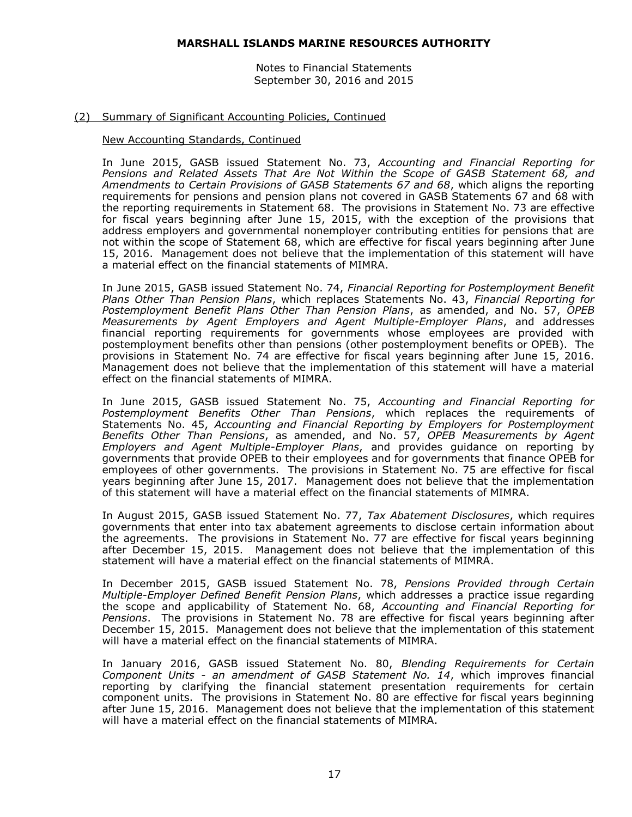Notes to Financial Statements September 30, 2016 and 2015

#### (2) Summary of Significant Accounting Policies, Continued

#### New Accounting Standards, Continued

In June 2015, GASB issued Statement No. 73, *Accounting and Financial Reporting for Pensions and Related Assets That Are Not Within the Scope of GASB Statement 68, and Amendments to Certain Provisions of GASB Statements 67 and 68*, which aligns the reporting requirements for pensions and pension plans not covered in GASB Statements 67 and 68 with the reporting requirements in Statement 68. The provisions in Statement No. 73 are effective for fiscal years beginning after June 15, 2015, with the exception of the provisions that address employers and governmental nonemployer contributing entities for pensions that are not within the scope of Statement 68, which are effective for fiscal years beginning after June 15, 2016. Management does not believe that the implementation of this statement will have a material effect on the financial statements of MIMRA.

In June 2015, GASB issued Statement No. 74, *Financial Reporting for Postemployment Benefit Plans Other Than Pension Plans*, which replaces Statements No. 43, *Financial Reporting for Postemployment Benefit Plans Other Than Pension Plans*, as amended, and No. 57, *OPEB Measurements by Agent Employers and Agent Multiple-Employer Plans*, and addresses financial reporting requirements for governments whose employees are provided with postemployment benefits other than pensions (other postemployment benefits or OPEB). The provisions in Statement No. 74 are effective for fiscal years beginning after June 15, 2016. Management does not believe that the implementation of this statement will have a material effect on the financial statements of MIMRA.

In June 2015, GASB issued Statement No. 75, *Accounting and Financial Reporting for Postemployment Benefits Other Than Pensions*, which replaces the requirements of Statements No. 45, *Accounting and Financial Reporting by Employers for Postemployment Benefits Other Than Pensions*, as amended, and No. 57, *OPEB Measurements by Agent Employers and Agent Multiple-Employer Plans*, and provides guidance on reporting by governments that provide OPEB to their employees and for governments that finance OPEB for employees of other governments. The provisions in Statement No. 75 are effective for fiscal years beginning after June 15, 2017. Management does not believe that the implementation of this statement will have a material effect on the financial statements of MIMRA.

In August 2015, GASB issued Statement No. 77, *Tax Abatement Disclosures*, which requires governments that enter into tax abatement agreements to disclose certain information about the agreements. The provisions in Statement No. 77 are effective for fiscal years beginning after December 15, 2015. Management does not believe that the implementation of this statement will have a material effect on the financial statements of MIMRA.

In December 2015, GASB issued Statement No. 78, *Pensions Provided through Certain Multiple-Employer Defined Benefit Pension Plans*, which addresses a practice issue regarding the scope and applicability of Statement No. 68, *Accounting and Financial Reporting for Pensions*. The provisions in Statement No. 78 are effective for fiscal years beginning after December 15, 2015. Management does not believe that the implementation of this statement will have a material effect on the financial statements of MIMRA.

In January 2016, GASB issued Statement No. 80, *Blending Requirements for Certain Component Units - an amendment of GASB Statement No. 14*, which improves financial reporting by clarifying the financial statement presentation requirements for certain component units. The provisions in Statement No. 80 are effective for fiscal years beginning after June 15, 2016. Management does not believe that the implementation of this statement will have a material effect on the financial statements of MIMRA.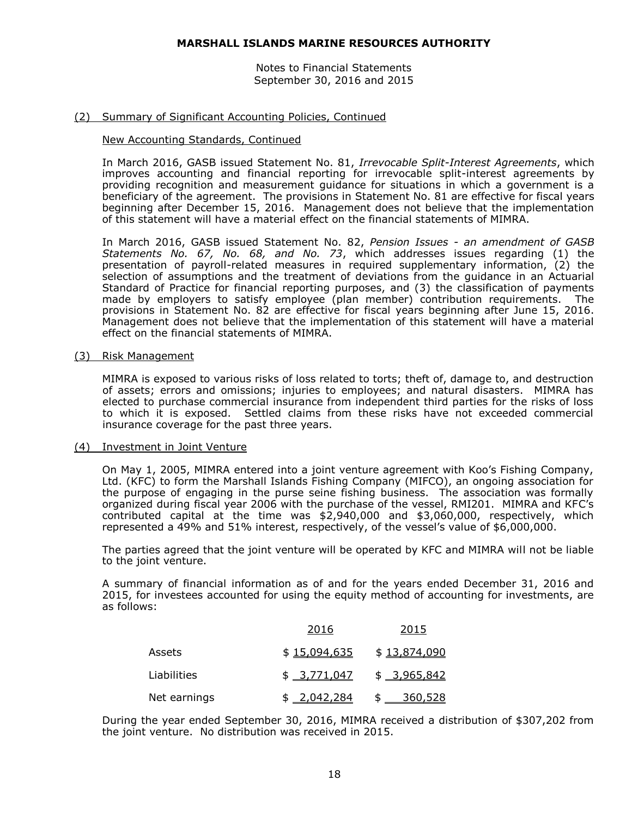Notes to Financial Statements September 30, 2016 and 2015

#### (2) Summary of Significant Accounting Policies, Continued

#### New Accounting Standards, Continued

In March 2016, GASB issued Statement No. 81, *Irrevocable Split-Interest Agreements*, which improves accounting and financial reporting for irrevocable split-interest agreements by providing recognition and measurement guidance for situations in which a government is a beneficiary of the agreement. The provisions in Statement No. 81 are effective for fiscal years beginning after December 15, 2016. Management does not believe that the implementation of this statement will have a material effect on the financial statements of MIMRA.

In March 2016, GASB issued Statement No. 82, *Pension Issues - an amendment of GASB Statements No. 67, No. 68, and No. 73*, which addresses issues regarding (1) the presentation of payroll-related measures in required supplementary information, (2) the selection of assumptions and the treatment of deviations from the guidance in an Actuarial Standard of Practice for financial reporting purposes, and (3) the classification of payments made by employers to satisfy employee (plan member) contribution requirements. The provisions in Statement No. 82 are effective for fiscal years beginning after June 15, 2016. Management does not believe that the implementation of this statement will have a material effect on the financial statements of MIMRA.

#### (3) Risk Management

MIMRA is exposed to various risks of loss related to torts; theft of, damage to, and destruction of assets; errors and omissions; injuries to employees; and natural disasters. MIMRA has elected to purchase commercial insurance from independent third parties for the risks of loss to which it is exposed. Settled claims from these risks have not exceeded commercial insurance coverage for the past three years.

#### (4) Investment in Joint Venture

On May 1, 2005, MIMRA entered into a joint venture agreement with Koo's Fishing Company, Ltd. (KFC) to form the Marshall Islands Fishing Company (MIFCO), an ongoing association for the purpose of engaging in the purse seine fishing business. The association was formally organized during fiscal year 2006 with the purchase of the vessel, RMI201. MIMRA and KFC's contributed capital at the time was \$2,940,000 and \$3,060,000, respectively, which represented a 49% and 51% interest, respectively, of the vessel's value of \$6,000,000.

The parties agreed that the joint venture will be operated by KFC and MIMRA will not be liable to the joint venture.

A summary of financial information as of and for the years ended December 31, 2016 and 2015, for investees accounted for using the equity method of accounting for investments, are as follows:

|              | 2016         | 2015           |
|--------------|--------------|----------------|
| Assets       | \$15,094,635 | \$13,874,090   |
| Liabilities  | \$3.771.047  | $$ -3,965,842$ |
| Net earnings | \$ 2,042,284 | \$ 360,528     |

During the year ended September 30, 2016, MIMRA received a distribution of \$307,202 from the joint venture. No distribution was received in 2015.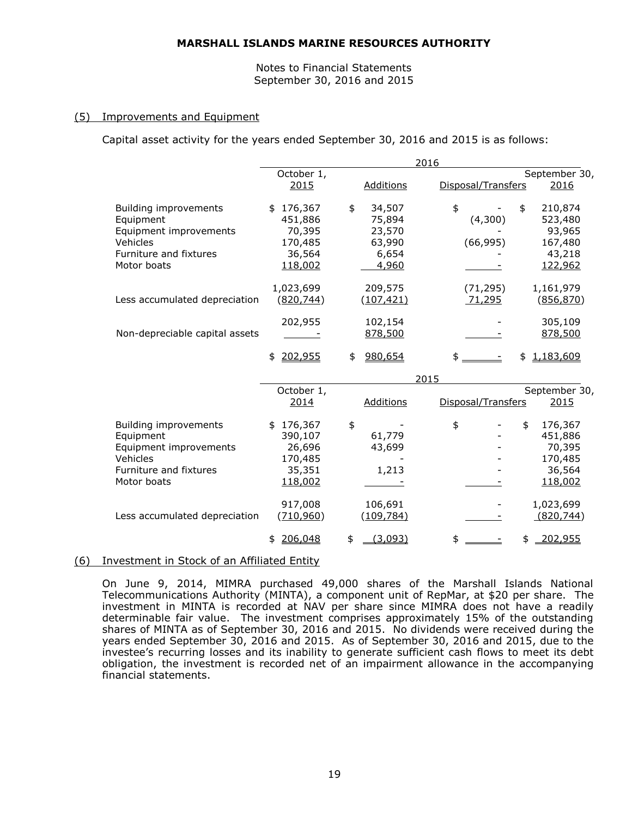Notes to Financial Statements September 30, 2016 and 2015

#### (5) Improvements and Equipment

Capital asset activity for the years ended September 30, 2016 and 2015 is as follows:

|                                                                                                                          |                                                                    | 2016                                                         |                                  |                                                              |
|--------------------------------------------------------------------------------------------------------------------------|--------------------------------------------------------------------|--------------------------------------------------------------|----------------------------------|--------------------------------------------------------------|
|                                                                                                                          | October 1,                                                         |                                                              |                                  | September 30,                                                |
|                                                                                                                          | 2015                                                               | <b>Additions</b>                                             | Disposal/Transfers               | 2016                                                         |
| <b>Building improvements</b><br>Equipment<br>Equipment improvements<br>Vehicles<br>Furniture and fixtures<br>Motor boats | \$176,367<br>451,886<br>70,395<br>170,485<br>36,564<br>118,002     | 34,507<br>\$<br>75,894<br>23,570<br>63,990<br>6,654<br>4,960 | \$<br>\$<br>(4,300)<br>(66, 995) | 210,874<br>523,480<br>93,965<br>167,480<br>43,218<br>122,962 |
| Less accumulated depreciation                                                                                            | 1,023,699<br>(820, 744)                                            | 209,575<br>(107, 421)                                        | (71, 295)<br>71,295              | 1,161,979<br>(856, 870)                                      |
| Non-depreciable capital assets                                                                                           | 202,955                                                            | 102,154<br>878,500                                           |                                  | 305,109<br>878,500                                           |
|                                                                                                                          | \$202,955                                                          | 980,654<br>\$                                                | $\frac{1}{2}$<br>\$              | 1,183,609                                                    |
|                                                                                                                          |                                                                    | 2015                                                         |                                  |                                                              |
|                                                                                                                          | October 1,<br>2014                                                 | Additions                                                    | Disposal/Transfers               | September 30,<br>2015                                        |
| <b>Building improvements</b><br>Equipment<br>Equipment improvements<br>Vehicles<br>Furniture and fixtures<br>Motor boats | 176,367<br>\$<br>390,107<br>26,696<br>170,485<br>35,351<br>118,002 | \$<br>61,779<br>43,699<br>1,213                              | \$<br>\$                         | 176,367<br>451,886<br>70,395<br>170,485<br>36,564<br>118,002 |
| Less accumulated depreciation                                                                                            | 917,008<br>(710, 960)                                              | 106,691<br>(109, 784)                                        |                                  | 1,023,699<br>(820, 744)                                      |
|                                                                                                                          | 206,048<br>\$                                                      | \$<br>(3,093)                                                | \$<br>\$                         | 202,955                                                      |

# (6) Investment in Stock of an Affiliated Entity

On June 9, 2014, MIMRA purchased 49,000 shares of the Marshall Islands National Telecommunications Authority (MINTA), a component unit of RepMar, at \$20 per share. The investment in MINTA is recorded at NAV per share since MIMRA does not have a readily determinable fair value. The investment comprises approximately 15% of the outstanding shares of MINTA as of September 30, 2016 and 2015. No dividends were received during the years ended September 30, 2016 and 2015. As of September 30, 2016 and 2015, due to the investee's recurring losses and its inability to generate sufficient cash flows to meet its debt obligation, the investment is recorded net of an impairment allowance in the accompanying financial statements.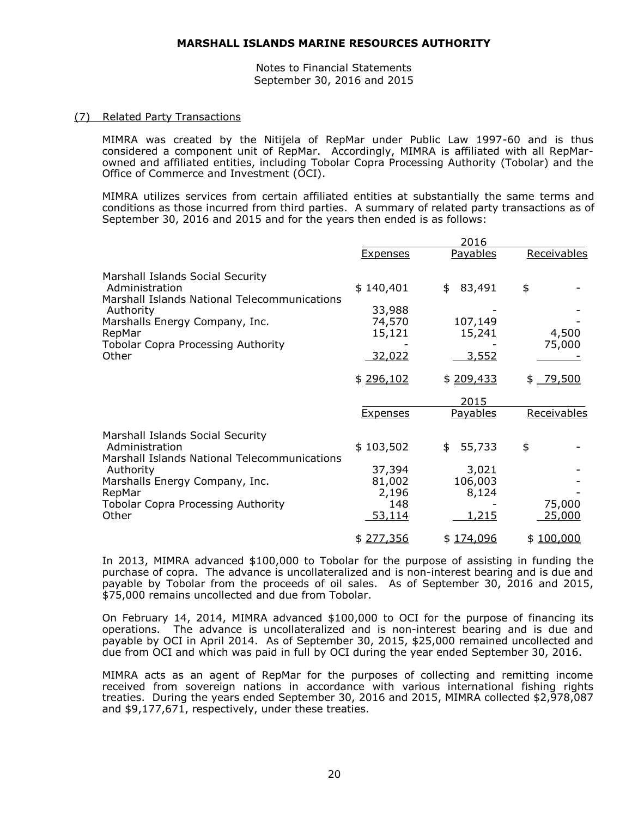Notes to Financial Statements September 30, 2016 and 2015

#### (7) Related Party Transactions

MIMRA was created by the Nitijela of RepMar under Public Law 1997-60 and is thus considered a component unit of RepMar. Accordingly, MIMRA is affiliated with all RepMarowned and affiliated entities, including Tobolar Copra Processing Authority (Tobolar) and the Office of Commerce and Investment (OCI).

MIMRA utilizes services from certain affiliated entities at substantially the same terms and conditions as those incurred from third parties. A summary of related party transactions as of September 30, 2016 and 2015 and for the years then ended is as follows:

|                                                                                                             |                                            | 2016                               |                  |
|-------------------------------------------------------------------------------------------------------------|--------------------------------------------|------------------------------------|------------------|
|                                                                                                             | <b>Expenses</b>                            | <b>Payables</b>                    | Receivables      |
| Marshall Islands Social Security<br>Administration<br>Marshall Islands National Telecommunications          | \$140,401                                  | 83,491<br>\$                       | \$               |
| Authority<br>Marshalls Energy Company, Inc.<br>RepMar                                                       | 33,988<br>74,570<br>15,121                 | 107,149<br>15,241                  | 4,500            |
| <b>Tobolar Copra Processing Authority</b><br>Other                                                          | <u>32,022</u>                              | 3,552                              | 75,000           |
|                                                                                                             | \$296,102                                  | \$209,433                          | $$ -79,500$      |
|                                                                                                             |                                            | 2015                               |                  |
|                                                                                                             | <b>Expenses</b>                            | Payables                           | Receivables      |
| Marshall Islands Social Security<br>Administration<br>Marshall Islands National Telecommunications          | \$103,502                                  | 55,733<br>\$                       | \$               |
| Authority<br>Marshalls Energy Company, Inc.<br>RepMar<br><b>Tobolar Copra Processing Authority</b><br>Other | 37,394<br>81,002<br>2,196<br>148<br>53,114 | 3,021<br>106,003<br>8,124<br>1,215 | 75,000<br>25,000 |
|                                                                                                             | \$277,356                                  | \$174,096                          | \$100,000        |

In 2013, MIMRA advanced \$100,000 to Tobolar for the purpose of assisting in funding the purchase of copra. The advance is uncollateralized and is non-interest bearing and is due and payable by Tobolar from the proceeds of oil sales. As of September 30, 2016 and 2015, \$75,000 remains uncollected and due from Tobolar.

On February 14, 2014, MIMRA advanced \$100,000 to OCI for the purpose of financing its operations. The advance is uncollateralized and is non-interest bearing and is due and payable by OCI in April 2014. As of September 30, 2015, \$25,000 remained uncollected and due from OCI and which was paid in full by OCI during the year ended September 30, 2016.

MIMRA acts as an agent of RepMar for the purposes of collecting and remitting income received from sovereign nations in accordance with various international fishing rights treaties. During the years ended September 30, 2016 and 2015, MIMRA collected \$2,978,087 and \$9,177,671, respectively, under these treaties.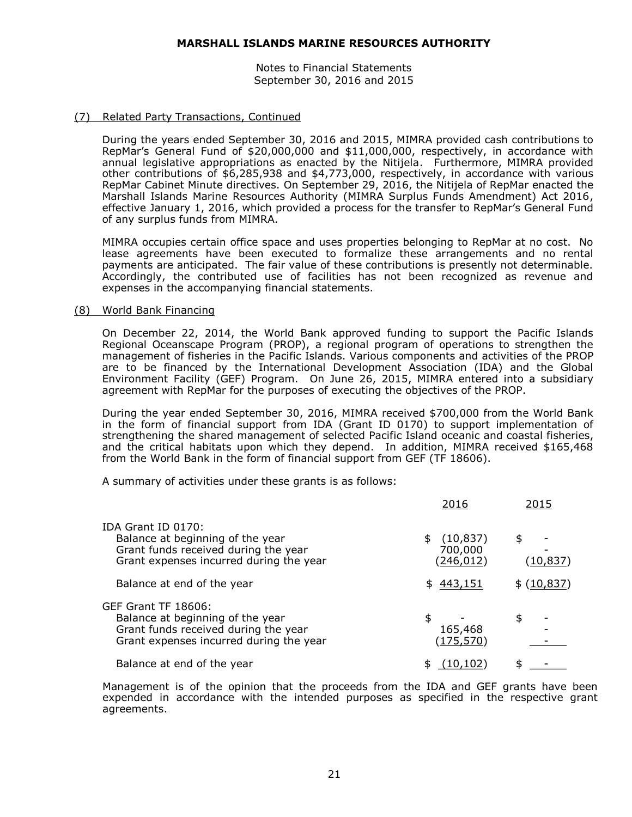Notes to Financial Statements September 30, 2016 and 2015

#### (7) Related Party Transactions, Continued

During the years ended September 30, 2016 and 2015, MIMRA provided cash contributions to RepMar's General Fund of \$20,000,000 and \$11,000,000, respectively, in accordance with annual legislative appropriations as enacted by the Nitijela. Furthermore, MIMRA provided other contributions of \$6,285,938 and \$4,773,000, respectively, in accordance with various RepMar Cabinet Minute directives. On September 29, 2016, the Nitijela of RepMar enacted the Marshall Islands Marine Resources Authority (MIMRA Surplus Funds Amendment) Act 2016, effective January 1, 2016, which provided a process for the transfer to RepMar's General Fund of any surplus funds from MIMRA.

MIMRA occupies certain office space and uses properties belonging to RepMar at no cost. No lease agreements have been executed to formalize these arrangements and no rental payments are anticipated. The fair value of these contributions is presently not determinable. Accordingly, the contributed use of facilities has not been recognized as revenue and expenses in the accompanying financial statements.

#### (8) World Bank Financing

On December 22, 2014, the World Bank approved funding to support the Pacific Islands Regional Oceanscape Program (PROP), a regional program of operations to strengthen the management of fisheries in the Pacific Islands. Various components and activities of the PROP are to be financed by the International Development Association (IDA) and the Global Environment Facility (GEF) Program. On June 26, 2015, MIMRA entered into a subsidiary agreement with RepMar for the purposes of executing the objectives of the PROP.

During the year ended September 30, 2016, MIMRA received \$700,000 from the World Bank in the form of financial support from IDA (Grant ID 0170) to support implementation of strengthening the shared management of selected Pacific Island oceanic and coastal fisheries, and the critical habitats upon which they depend. In addition, MIMRA received \$165,468 from the World Bank in the form of financial support from GEF (TF 18606).

A summary of activities under these grants is as follows:

|                                                                                                                                            | 2016                                | 2015                  |
|--------------------------------------------------------------------------------------------------------------------------------------------|-------------------------------------|-----------------------|
| IDA Grant ID 0170:<br>Balance at beginning of the year<br>Grant funds received during the year<br>Grant expenses incurred during the year  | (10, 837)<br>700,000<br>(246, 012)  | \$<br><u>(10,837)</u> |
| Balance at end of the year                                                                                                                 | \$443,151                           | \$( <u>10,837</u> )   |
| GEF Grant TF 18606:<br>Balance at beginning of the year<br>Grant funds received during the year<br>Grant expenses incurred during the year | \$<br>165,468<br>( <u>175,570</u> ) | \$                    |
| Balance at end of the year                                                                                                                 |                                     | \$                    |

Management is of the opinion that the proceeds from the IDA and GEF grants have been expended in accordance with the intended purposes as specified in the respective grant agreements.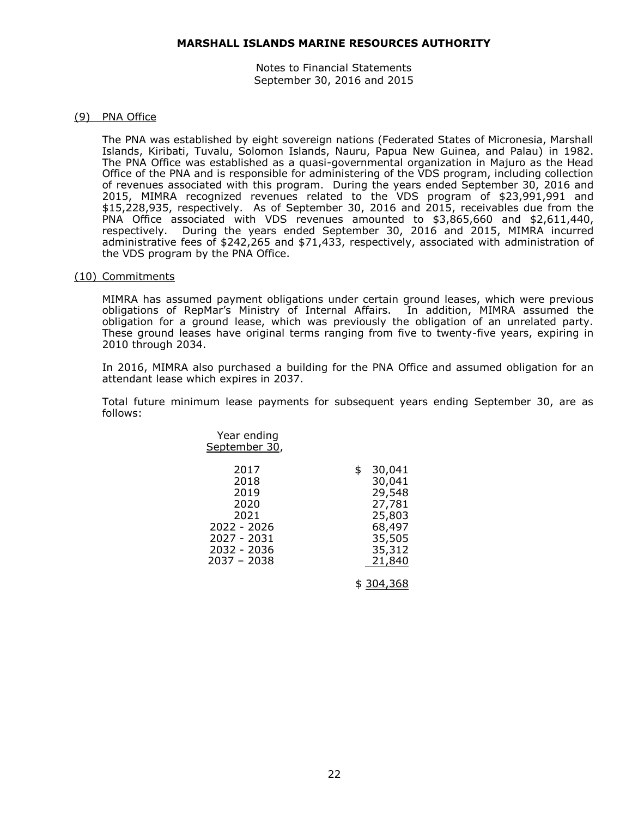Notes to Financial Statements September 30, 2016 and 2015

#### (9) PNA Office

The PNA was established by eight sovereign nations (Federated States of Micronesia, Marshall Islands, Kiribati, Tuvalu, Solomon Islands, Nauru, Papua New Guinea, and Palau) in 1982. The PNA Office was established as a quasi-governmental organization in Majuro as the Head Office of the PNA and is responsible for administering of the VDS program, including collection of revenues associated with this program. During the years ended September 30, 2016 and 2015, MIMRA recognized revenues related to the VDS program of \$23,991,991 and \$15,228,935, respectively. As of September 30, 2016 and 2015, receivables due from the PNA Office associated with VDS revenues amounted to \$3,865,660 and \$2,611,440, respectively. During the years ended September 30, 2016 and 2015, MIMRA incurred administrative fees of \$242,265 and \$71,433, respectively, associated with administration of the VDS program by the PNA Office.

#### (10) Commitments

MIMRA has assumed payment obligations under certain ground leases, which were previous obligations of RepMar's Ministry of Internal Affairs. In addition, MIMRA assumed the obligation for a ground lease, which was previously the obligation of an unrelated party. These ground leases have original terms ranging from five to twenty-five years, expiring in 2010 through 2034.

In 2016, MIMRA also purchased a building for the PNA Office and assumed obligation for an attendant lease which expires in 2037.

Total future minimum lease payments for subsequent years ending September 30, are as follows:

| Year ending<br>September 30,                                                                     |                                                                                              |
|--------------------------------------------------------------------------------------------------|----------------------------------------------------------------------------------------------|
| 2017<br>2018<br>2019<br>2020<br>2021<br>2022 - 2026<br>2027 - 2031<br>2032 - 2036<br>2037 - 2038 | 30,041<br>\$<br>30,041<br>29,548<br>27,781<br>25,803<br>68,497<br>35,505<br>35,312<br>21,840 |
|                                                                                                  | \$ 304,368                                                                                   |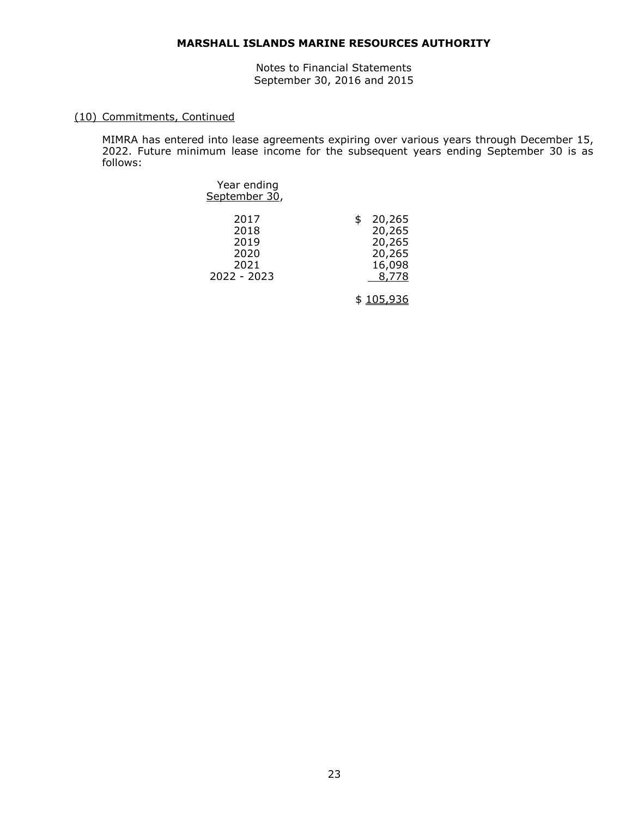Notes to Financial Statements September 30, 2016 and 2015

# (10) Commitments, Continued

MIMRA has entered into lease agreements expiring over various years through December 15, 2022. Future minimum lease income for the subsequent years ending September 30 is as follows:

| Year ending<br>September 30,                        |                                                               |
|-----------------------------------------------------|---------------------------------------------------------------|
| 2017<br>2018<br>2019<br>2020<br>2021<br>2022 - 2023 | \$<br>20,265<br>20,265<br>20,265<br>20,265<br>16,098<br>8,778 |
|                                                     | \$ <u>105,93</u>                                              |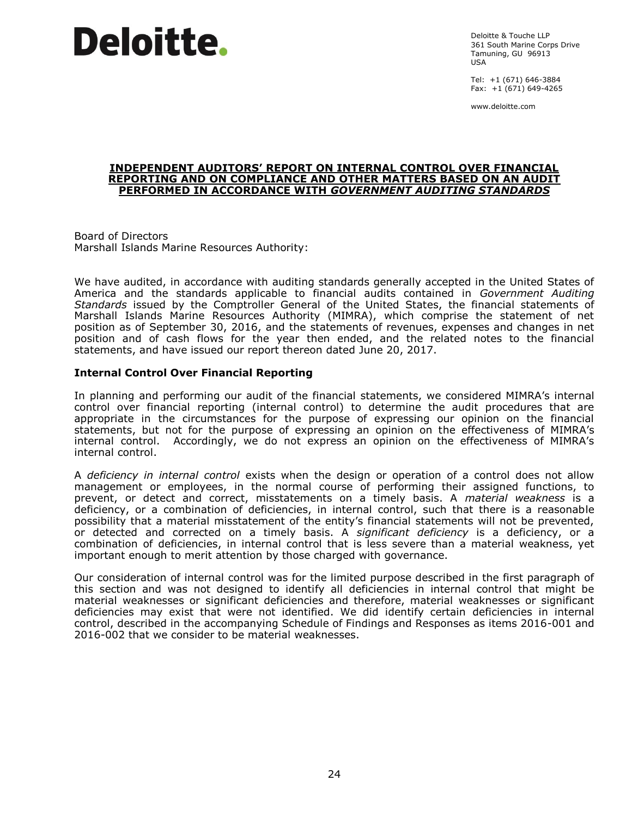

Deloitte & Touche LLP 361 South Marine Corps Drive Tamuning, GU 96913 USA

Tel: +1 (671) 646-3884 Fax: +1 (671) 649-4265

www.deloitte.com

#### **INDEPENDENT AUDITORS' REPORT ON INTERNAL CONTROL OVER FINANCIAL REPORTING AND ON COMPLIANCE AND OTHER MATTERS BASED ON AN AUDIT PERFORMED IN ACCORDANCE WITH** *GOVERNMENT AUDITING STANDARDS*

Board of Directors Marshall Islands Marine Resources Authority:

We have audited, in accordance with auditing standards generally accepted in the United States of America and the standards applicable to financial audits contained in *Government Auditing Standards* issued by the Comptroller General of the United States, the financial statements of Marshall Islands Marine Resources Authority (MIMRA), which comprise the statement of net position as of September 30, 2016, and the statements of revenues, expenses and changes in net position and of cash flows for the year then ended, and the related notes to the financial statements, and have issued our report thereon dated June 20, 2017.

#### **Internal Control Over Financial Reporting**

In planning and performing our audit of the financial statements, we considered MIMRA's internal control over financial reporting (internal control) to determine the audit procedures that are appropriate in the circumstances for the purpose of expressing our opinion on the financial statements, but not for the purpose of expressing an opinion on the effectiveness of MIMRA's internal control. Accordingly, we do not express an opinion on the effectiveness of MIMRA's internal control.

A *deficiency in internal control* exists when the design or operation of a control does not allow management or employees, in the normal course of performing their assigned functions, to prevent, or detect and correct, misstatements on a timely basis. A *material weakness* is a deficiency, or a combination of deficiencies, in internal control, such that there is a reasonable possibility that a material misstatement of the entity's financial statements will not be prevented, or detected and corrected on a timely basis. A *significant deficiency* is a deficiency, or a combination of deficiencies, in internal control that is less severe than a material weakness, yet important enough to merit attention by those charged with governance.

Our consideration of internal control was for the limited purpose described in the first paragraph of this section and was not designed to identify all deficiencies in internal control that might be material weaknesses or significant deficiencies and therefore, material weaknesses or significant deficiencies may exist that were not identified. We did identify certain deficiencies in internal control, described in the accompanying Schedule of Findings and Responses as items 2016-001 and 2016-002 that we consider to be material weaknesses.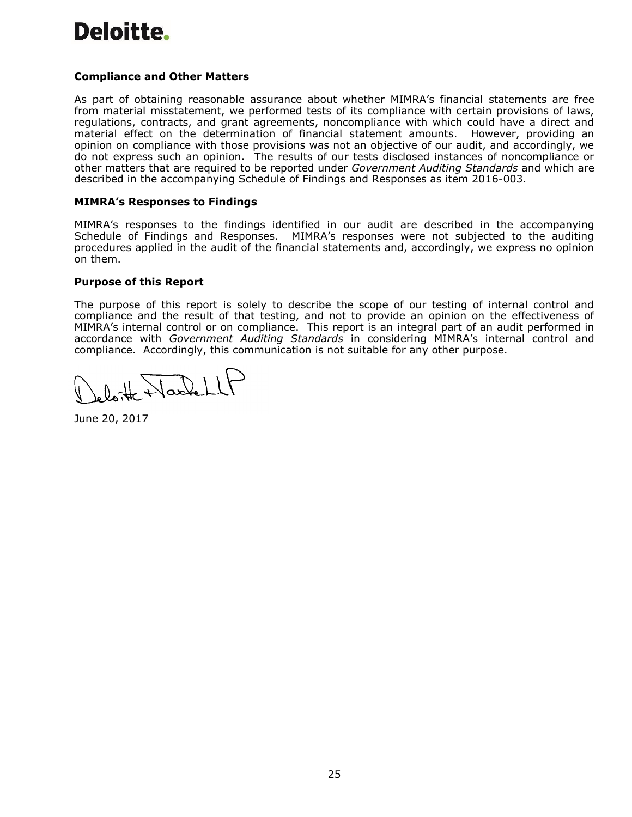# Deloitte.

# **Compliance and Other Matters**

As part of obtaining reasonable assurance about whether MIMRA's financial statements are free from material misstatement, we performed tests of its compliance with certain provisions of laws, regulations, contracts, and grant agreements, noncompliance with which could have a direct and material effect on the determination of financial statement amounts. However, providing an opinion on compliance with those provisions was not an objective of our audit, and accordingly, we do not express such an opinion. The results of our tests disclosed instances of noncompliance or other matters that are required to be reported under *Government Auditing Standards* and which are described in the accompanying Schedule of Findings and Responses as item 2016-003.

## **MIMRA's Responses to Findings**

MIMRA's responses to the findings identified in our audit are described in the accompanying Schedule of Findings and Responses. MIMRA's responses were not subjected to the auditing procedures applied in the audit of the financial statements and, accordingly, we express no opinion on them.

#### **Purpose of this Report**

The purpose of this report is solely to describe the scope of our testing of internal control and compliance and the result of that testing, and not to provide an opinion on the effectiveness of MIMRA's internal control or on compliance. This report is an integral part of an audit performed in accordance with *Government Auditing Standards* in considering MIMRA's internal control and compliance. Accordingly, this communication is not suitable for any other purpose.

loite Naskell

June 20, 2017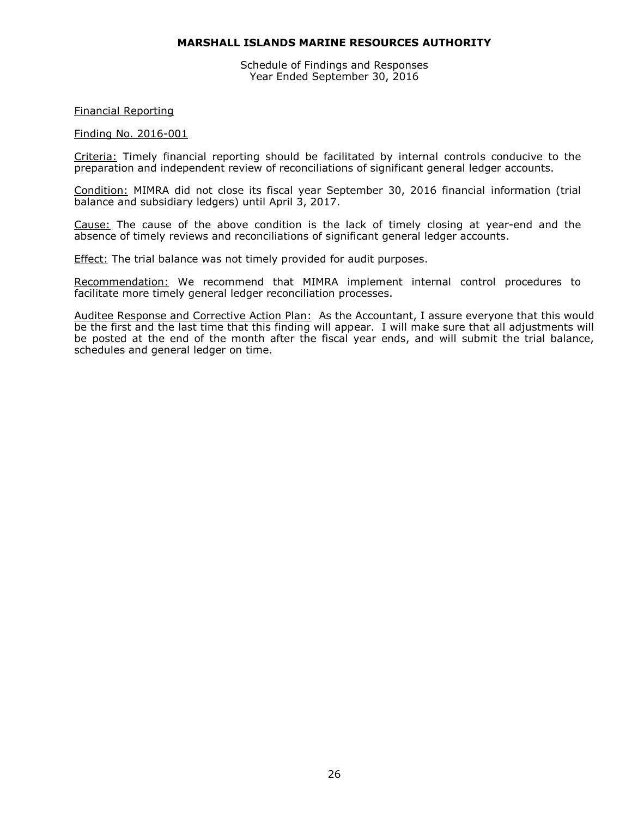Schedule of Findings and Responses Year Ended September 30, 2016

#### Financial Reporting

#### Finding No. 2016-001

Criteria: Timely financial reporting should be facilitated by internal controls conducive to the preparation and independent review of reconciliations of significant general ledger accounts.

Condition: MIMRA did not close its fiscal year September 30, 2016 financial information (trial balance and subsidiary ledgers) until April 3, 2017.

Cause: The cause of the above condition is the lack of timely closing at year-end and the absence of timely reviews and reconciliations of significant general ledger accounts.

**Effect:** The trial balance was not timely provided for audit purposes.

Recommendation: We recommend that MIMRA implement internal control procedures to facilitate more timely general ledger reconciliation processes.

Auditee Response and Corrective Action Plan: As the Accountant, I assure everyone that this would be the first and the last time that this finding will appear. I will make sure that all adjustments will be posted at the end of the month after the fiscal year ends, and will submit the trial balance, schedules and general ledger on time.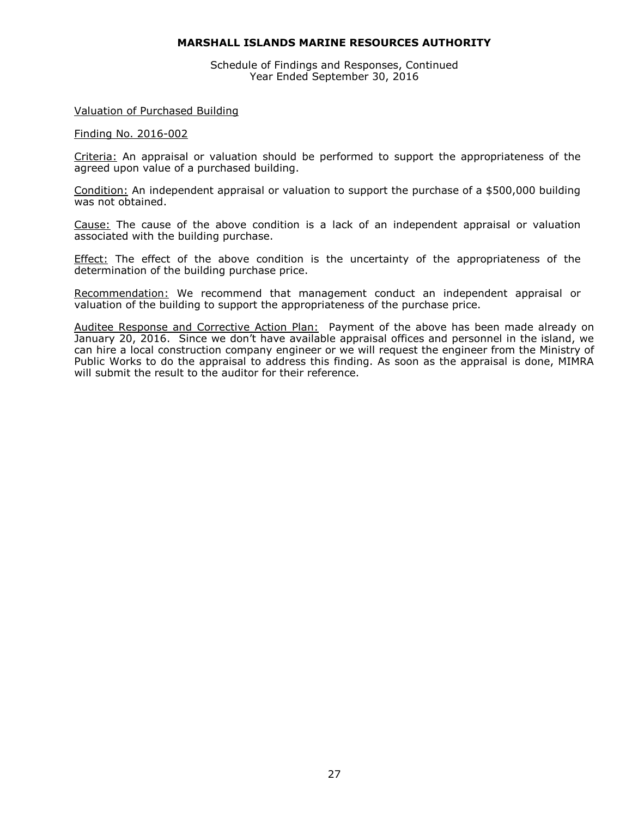Schedule of Findings and Responses, Continued Year Ended September 30, 2016

#### Valuation of Purchased Building

#### Finding No. 2016-002

Criteria: An appraisal or valuation should be performed to support the appropriateness of the agreed upon value of a purchased building.

Condition: An independent appraisal or valuation to support the purchase of a \$500,000 building was not obtained.

Cause: The cause of the above condition is a lack of an independent appraisal or valuation associated with the building purchase.

**Effect:** The effect of the above condition is the uncertainty of the appropriateness of the determination of the building purchase price.

Recommendation: We recommend that management conduct an independent appraisal or valuation of the building to support the appropriateness of the purchase price.

Auditee Response and Corrective Action Plan: Payment of the above has been made already on January 20, 2016. Since we don't have available appraisal offices and personnel in the island, we can hire a local construction company engineer or we will request the engineer from the Ministry of Public Works to do the appraisal to address this finding. As soon as the appraisal is done, MIMRA will submit the result to the auditor for their reference.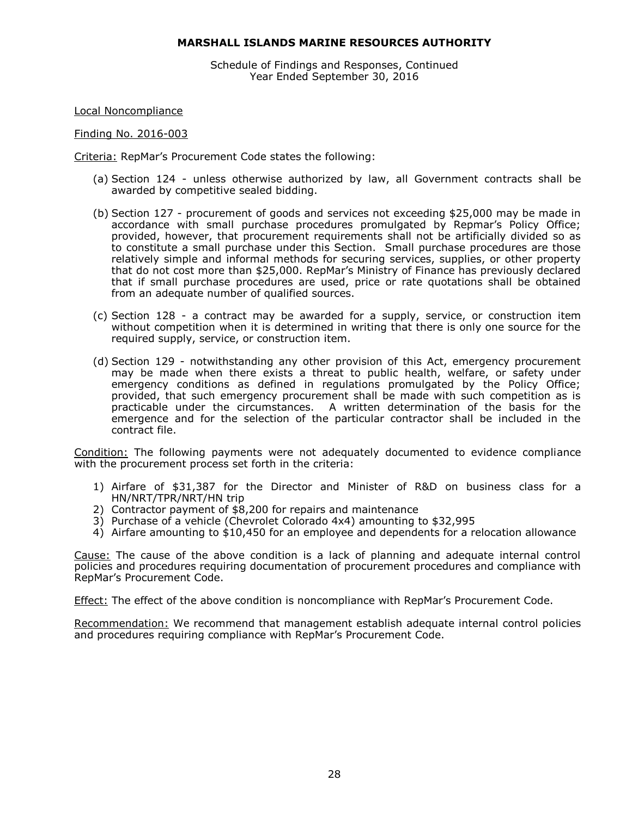Schedule of Findings and Responses, Continued Year Ended September 30, 2016

Local Noncompliance

Finding No. 2016-003

Criteria: RepMar's Procurement Code states the following:

- (a) Section 124 unless otherwise authorized by law, all Government contracts shall be awarded by competitive sealed bidding.
- (b) Section 127 procurement of goods and services not exceeding \$25,000 may be made in accordance with small purchase procedures promulgated by Repmar's Policy Office; provided, however, that procurement requirements shall not be artificially divided so as to constitute a small purchase under this Section. Small purchase procedures are those relatively simple and informal methods for securing services, supplies, or other property that do not cost more than \$25,000. RepMar's Ministry of Finance has previously declared that if small purchase procedures are used, price or rate quotations shall be obtained from an adequate number of qualified sources.
- (c) Section 128 a contract may be awarded for a supply, service, or construction item without competition when it is determined in writing that there is only one source for the required supply, service, or construction item.
- (d) Section 129 notwithstanding any other provision of this Act, emergency procurement may be made when there exists a threat to public health, welfare, or safety under emergency conditions as defined in regulations promulgated by the Policy Office; provided, that such emergency procurement shall be made with such competition as is practicable under the circumstances. A written determination of the basis for the emergence and for the selection of the particular contractor shall be included in the contract file.

Condition: The following payments were not adequately documented to evidence compliance with the procurement process set forth in the criteria:

- 1) Airfare of \$31,387 for the Director and Minister of R&D on business class for a HN/NRT/TPR/NRT/HN trip
- 2) Contractor payment of \$8,200 for repairs and maintenance
- 3) Purchase of a vehicle (Chevrolet Colorado 4x4) amounting to \$32,995
- 4) Airfare amounting to \$10,450 for an employee and dependents for a relocation allowance

Cause: The cause of the above condition is a lack of planning and adequate internal control policies and procedures requiring documentation of procurement procedures and compliance with RepMar's Procurement Code.

Effect: The effect of the above condition is noncompliance with RepMar's Procurement Code.

Recommendation: We recommend that management establish adequate internal control policies and procedures requiring compliance with RepMar's Procurement Code.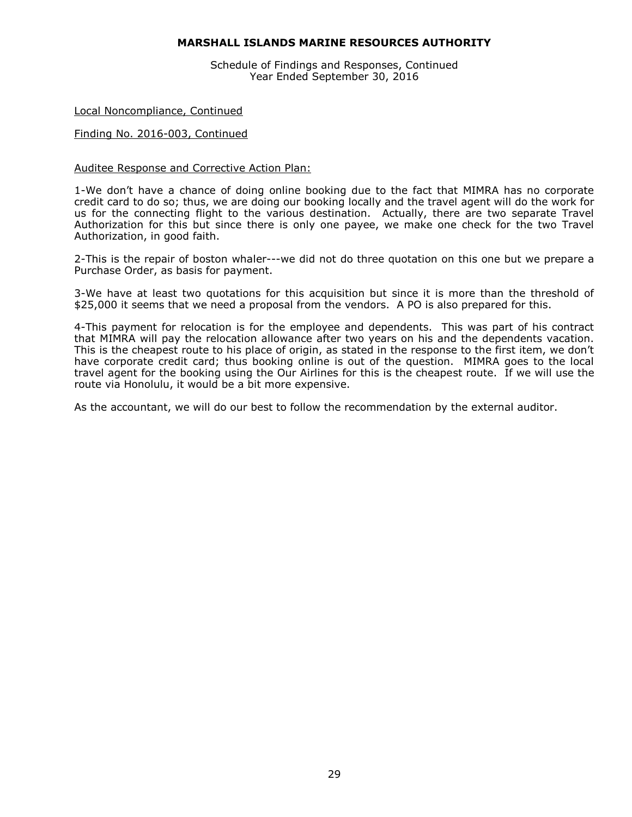Schedule of Findings and Responses, Continued Year Ended September 30, 2016

#### Local Noncompliance, Continued

#### Finding No. 2016-003, Continued

#### Auditee Response and Corrective Action Plan:

1-We don't have a chance of doing online booking due to the fact that MIMRA has no corporate credit card to do so; thus, we are doing our booking locally and the travel agent will do the work for us for the connecting flight to the various destination. Actually, there are two separate Travel Authorization for this but since there is only one payee, we make one check for the two Travel Authorization, in good faith.

2-This is the repair of boston whaler---we did not do three quotation on this one but we prepare a Purchase Order, as basis for payment.

3-We have at least two quotations for this acquisition but since it is more than the threshold of \$25,000 it seems that we need a proposal from the vendors. A PO is also prepared for this.

4-This payment for relocation is for the employee and dependents. This was part of his contract that MIMRA will pay the relocation allowance after two years on his and the dependents vacation. This is the cheapest route to his place of origin, as stated in the response to the first item, we don't have corporate credit card; thus booking online is out of the question. MIMRA goes to the local travel agent for the booking using the Our Airlines for this is the cheapest route. If we will use the route via Honolulu, it would be a bit more expensive.

As the accountant, we will do our best to follow the recommendation by the external auditor.